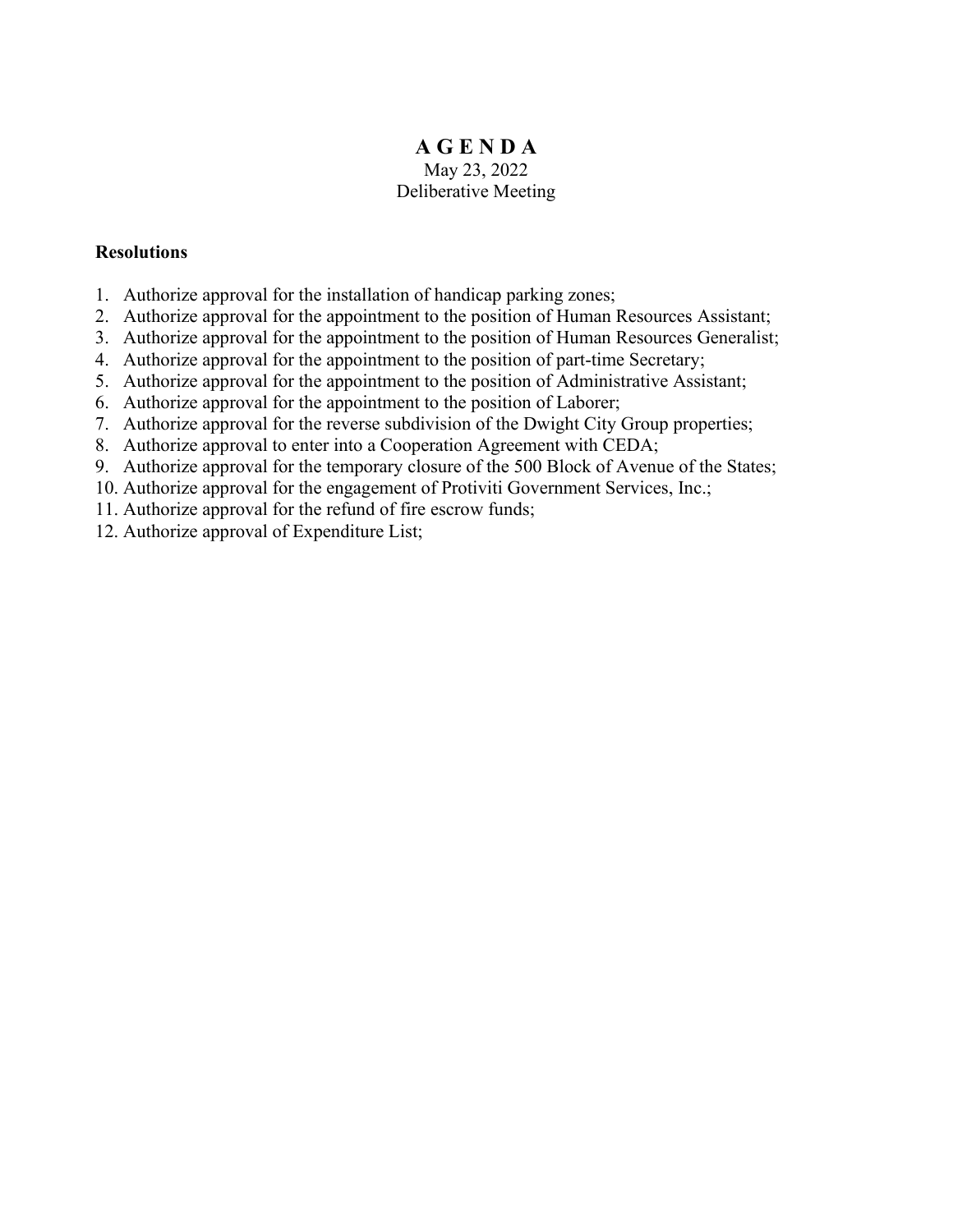# **A G E N D A** May 23, 2022 Deliberative Meeting

# **Resolutions**

- 1. Authorize approval for the installation of handicap parking zones;
- 2. Authorize approval for the appointment to the position of Human Resources Assistant;
- 3. Authorize approval for the appointment to the position of Human Resources Generalist;
- 4. Authorize approval for the appointment to the position of part-time Secretary;
- 5. Authorize approval for the appointment to the position of Administrative Assistant;
- 6. Authorize approval for the appointment to the position of Laborer;
- 7. Authorize approval for the reverse subdivision of the Dwight City Group properties;
- 8. Authorize approval to enter into a Cooperation Agreement with CEDA;
- 9. Authorize approval for the temporary closure of the 500 Block of Avenue of the States;
- 10. Authorize approval for the engagement of Protiviti Government Services, Inc.;
- 11. Authorize approval for the refund of fire escrow funds;
- 12. Authorize approval of Expenditure List;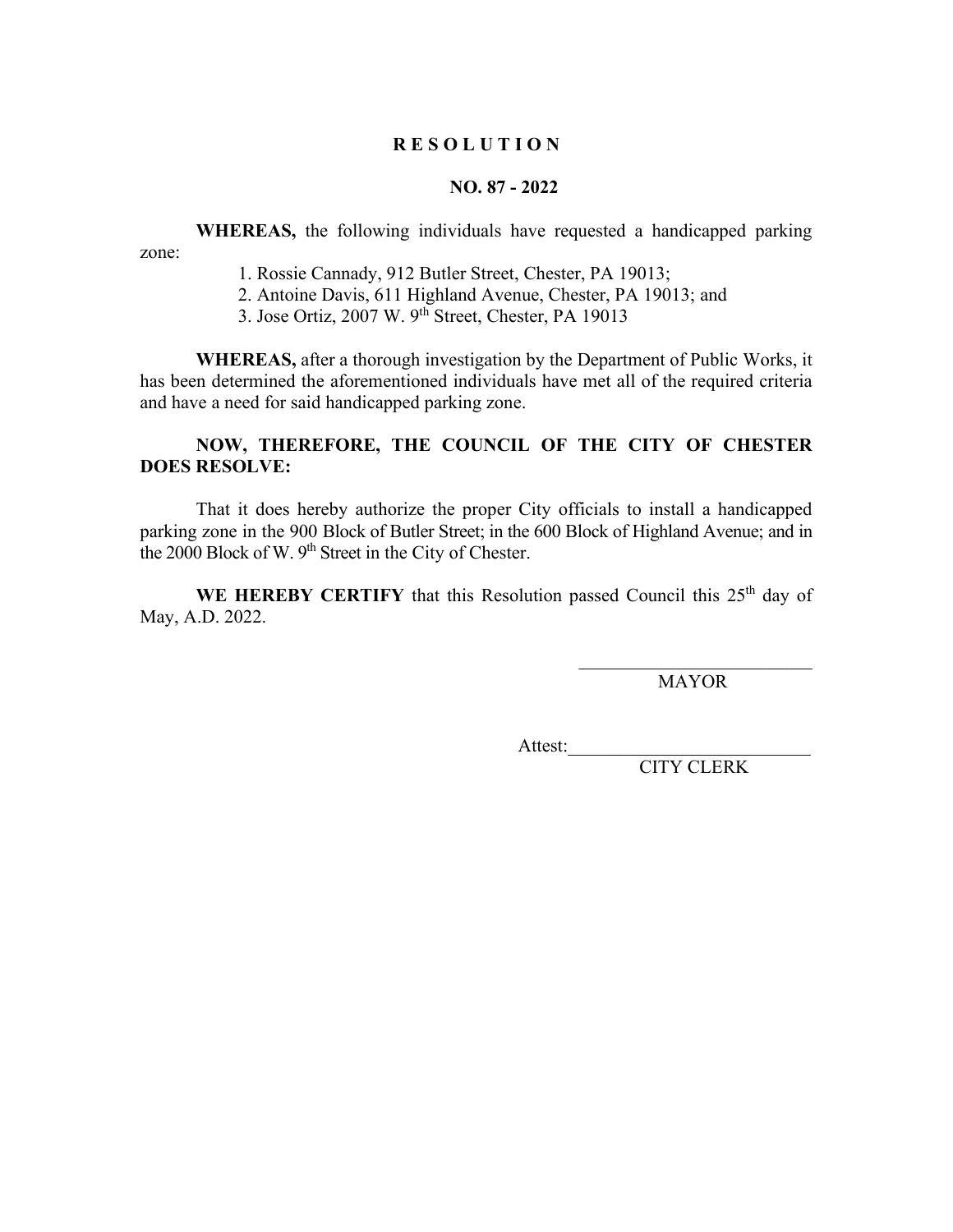# **NO. 87 - 2022**

**WHEREAS,** the following individuals have requested a handicapped parking zone:

1. Rossie Cannady, 912 Butler Street, Chester, PA 19013;

2. Antoine Davis, 611 Highland Avenue, Chester, PA 19013; and

3. Jose Ortiz, 2007 W. 9th Street, Chester, PA 19013

**WHEREAS,** after a thorough investigation by the Department of Public Works, it has been determined the aforementioned individuals have met all of the required criteria and have a need for said handicapped parking zone.

# **NOW, THEREFORE, THE COUNCIL OF THE CITY OF CHESTER DOES RESOLVE:**

That it does hereby authorize the proper City officials to install a handicapped parking zone in the 900 Block of Butler Street; in the 600 Block of Highland Avenue; and in the 2000 Block of W. 9<sup>th</sup> Street in the City of Chester.

WE HEREBY CERTIFY that this Resolution passed Council this 25<sup>th</sup> day of May, A.D. 2022.

MAYOR

 $\mathcal{L}_\text{max}$  , which is a set of the set of the set of the set of the set of the set of the set of the set of the set of the set of the set of the set of the set of the set of the set of the set of the set of the set of

Attest: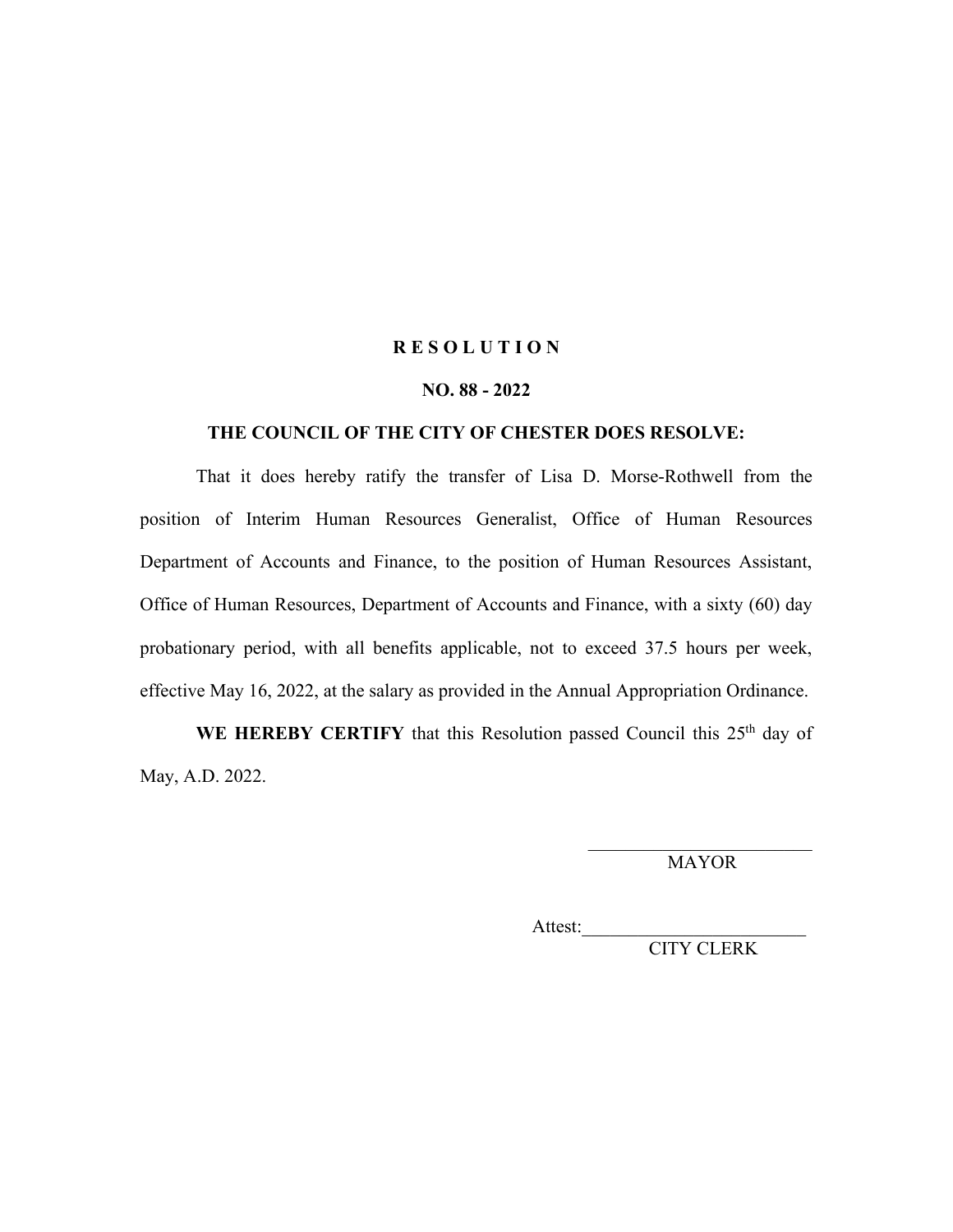### **NO. 88 - 2022**

## **THE COUNCIL OF THE CITY OF CHESTER DOES RESOLVE:**

That it does hereby ratify the transfer of Lisa D. Morse-Rothwell from the position of Interim Human Resources Generalist, Office of Human Resources Department of Accounts and Finance, to the position of Human Resources Assistant, Office of Human Resources, Department of Accounts and Finance, with a sixty (60) day probationary period, with all benefits applicable, not to exceed 37.5 hours per week, effective May 16, 2022, at the salary as provided in the Annual Appropriation Ordinance.

WE HEREBY CERTIFY that this Resolution passed Council this 25<sup>th</sup> day of May, A.D. 2022.

> \_\_\_\_\_\_\_\_\_\_\_\_\_\_\_\_\_\_\_\_\_\_\_\_ MAYOR

Attest: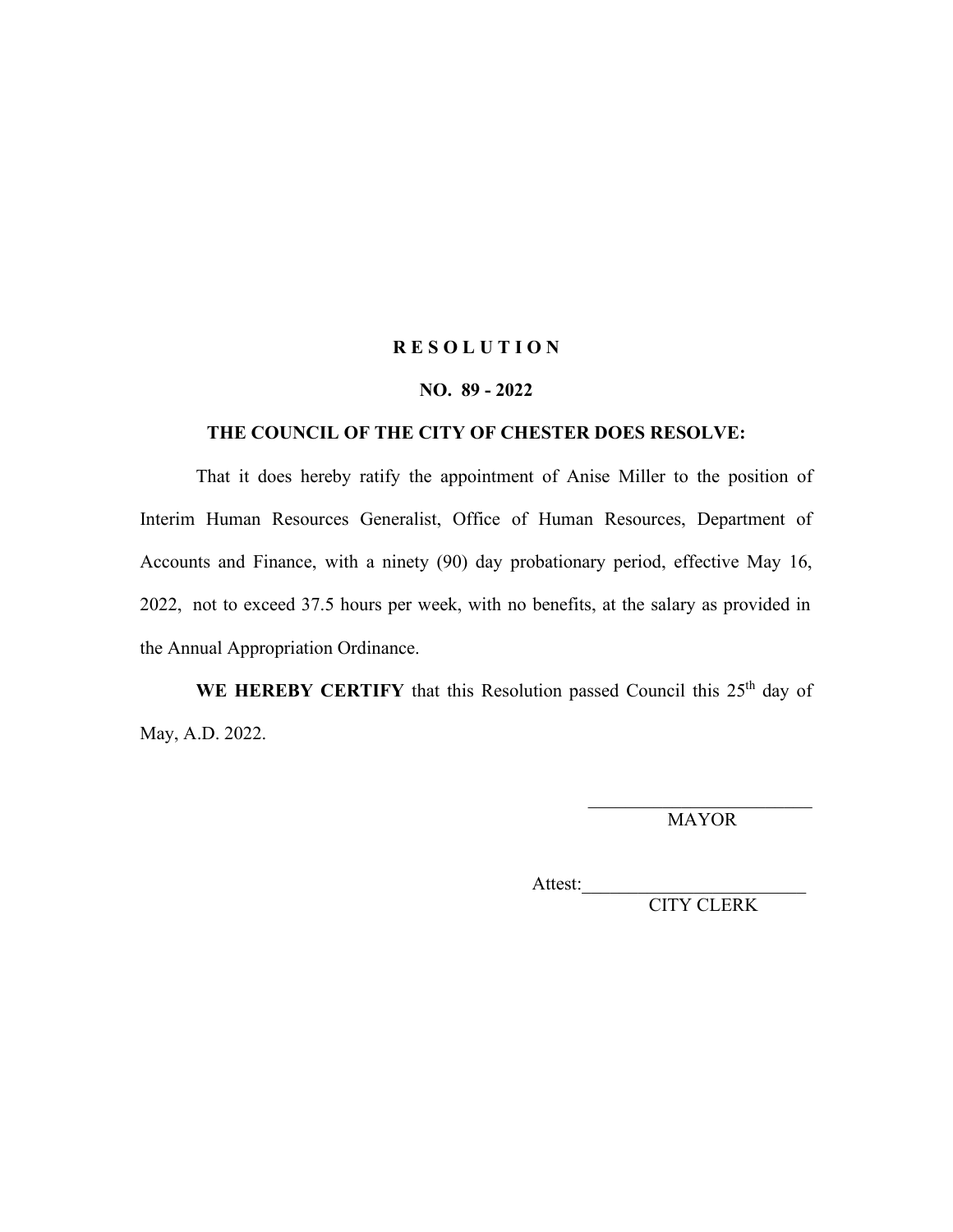## **NO. 89 - 2022**

## **THE COUNCIL OF THE CITY OF CHESTER DOES RESOLVE:**

That it does hereby ratify the appointment of Anise Miller to the position of Interim Human Resources Generalist, Office of Human Resources, Department of Accounts and Finance, with a ninety (90) day probationary period, effective May 16, 2022, not to exceed 37.5 hours per week, with no benefits, at the salary as provided in the Annual Appropriation Ordinance.

WE HEREBY CERTIFY that this Resolution passed Council this 25<sup>th</sup> day of May, A.D. 2022.

> $\mathcal{L}_\text{max}$  , where  $\mathcal{L}_\text{max}$  and  $\mathcal{L}_\text{max}$ MAYOR

Attest: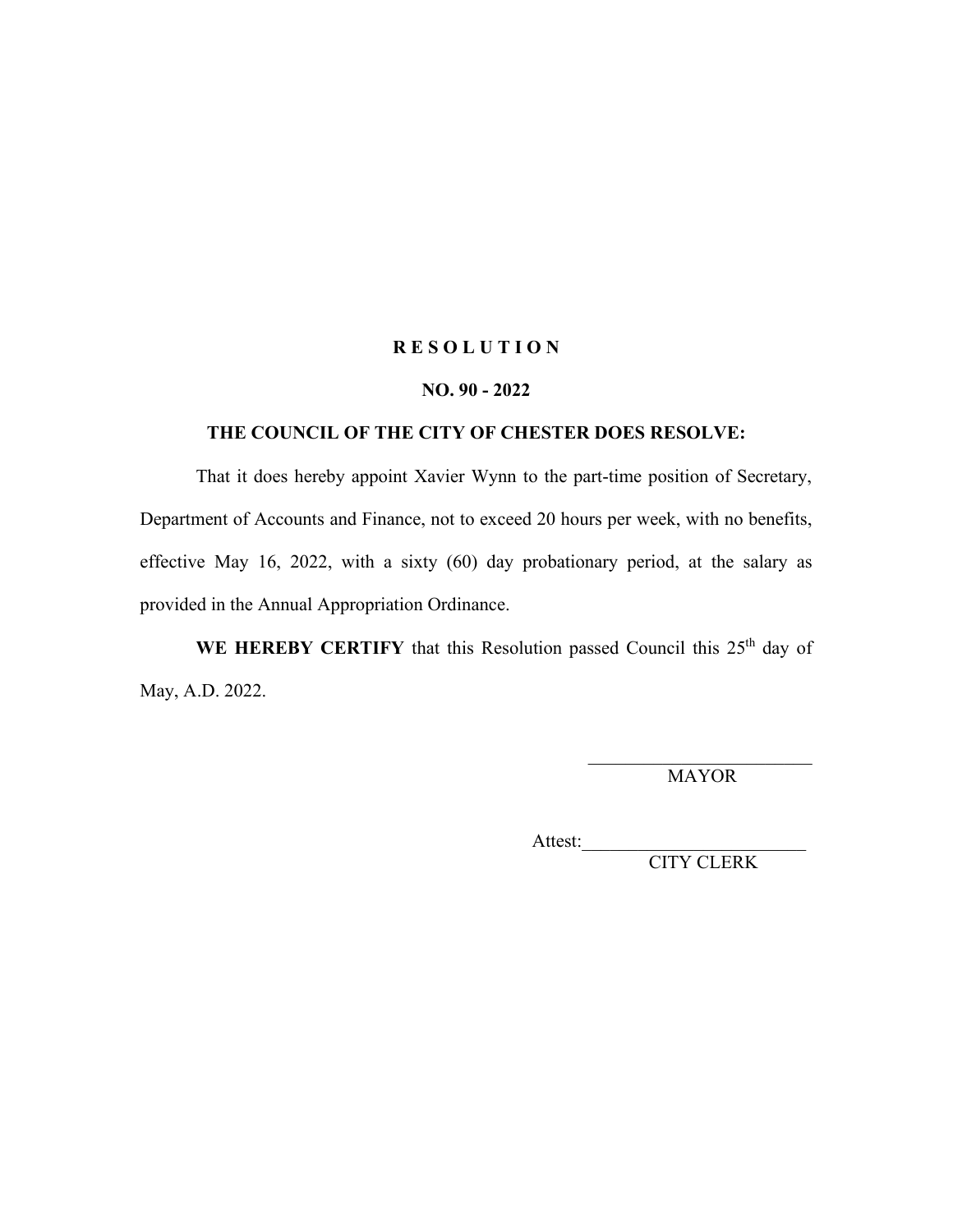## **NO. 90 - 2022**

# **THE COUNCIL OF THE CITY OF CHESTER DOES RESOLVE:**

That it does hereby appoint Xavier Wynn to the part-time position of Secretary, Department of Accounts and Finance, not to exceed 20 hours per week, with no benefits, effective May 16, 2022, with a sixty (60) day probationary period, at the salary as provided in the Annual Appropriation Ordinance.

WE HEREBY CERTIFY that this Resolution passed Council this 25<sup>th</sup> day of May, A.D. 2022.

> \_\_\_\_\_\_\_\_\_\_\_\_\_\_\_\_\_\_\_\_\_\_\_\_ MAYOR

Attest: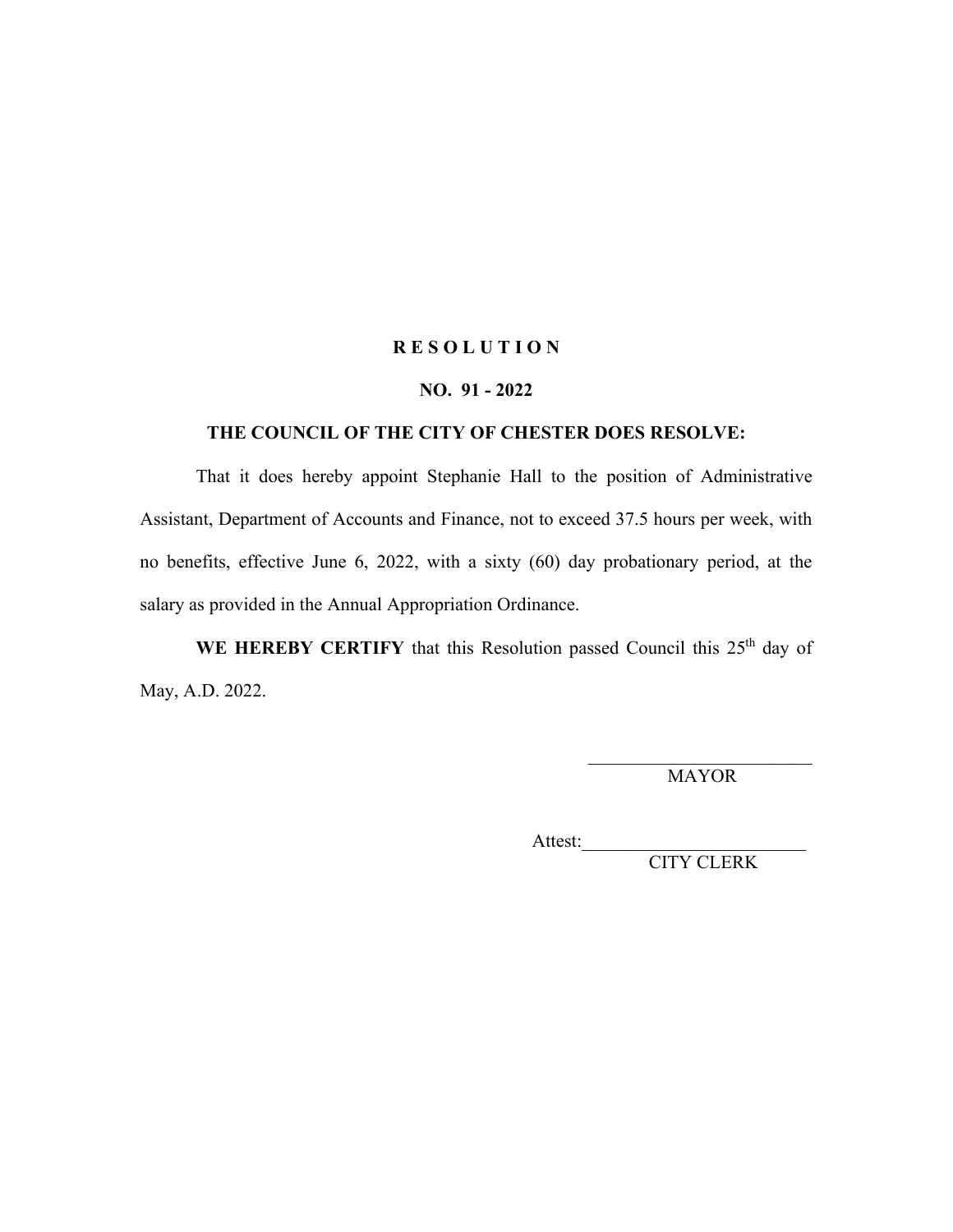### **NO. 91 - 2022**

# **THE COUNCIL OF THE CITY OF CHESTER DOES RESOLVE:**

That it does hereby appoint Stephanie Hall to the position of Administrative Assistant, Department of Accounts and Finance, not to exceed 37.5 hours per week, with no benefits, effective June 6, 2022, with a sixty (60) day probationary period, at the salary as provided in the Annual Appropriation Ordinance.

WE HEREBY CERTIFY that this Resolution passed Council this 25<sup>th</sup> day of May, A.D. 2022.

> \_\_\_\_\_\_\_\_\_\_\_\_\_\_\_\_\_\_\_\_\_\_\_\_ MAYOR

Attest:\_\_\_\_\_\_\_\_\_\_\_\_\_\_\_\_\_\_\_\_\_\_\_\_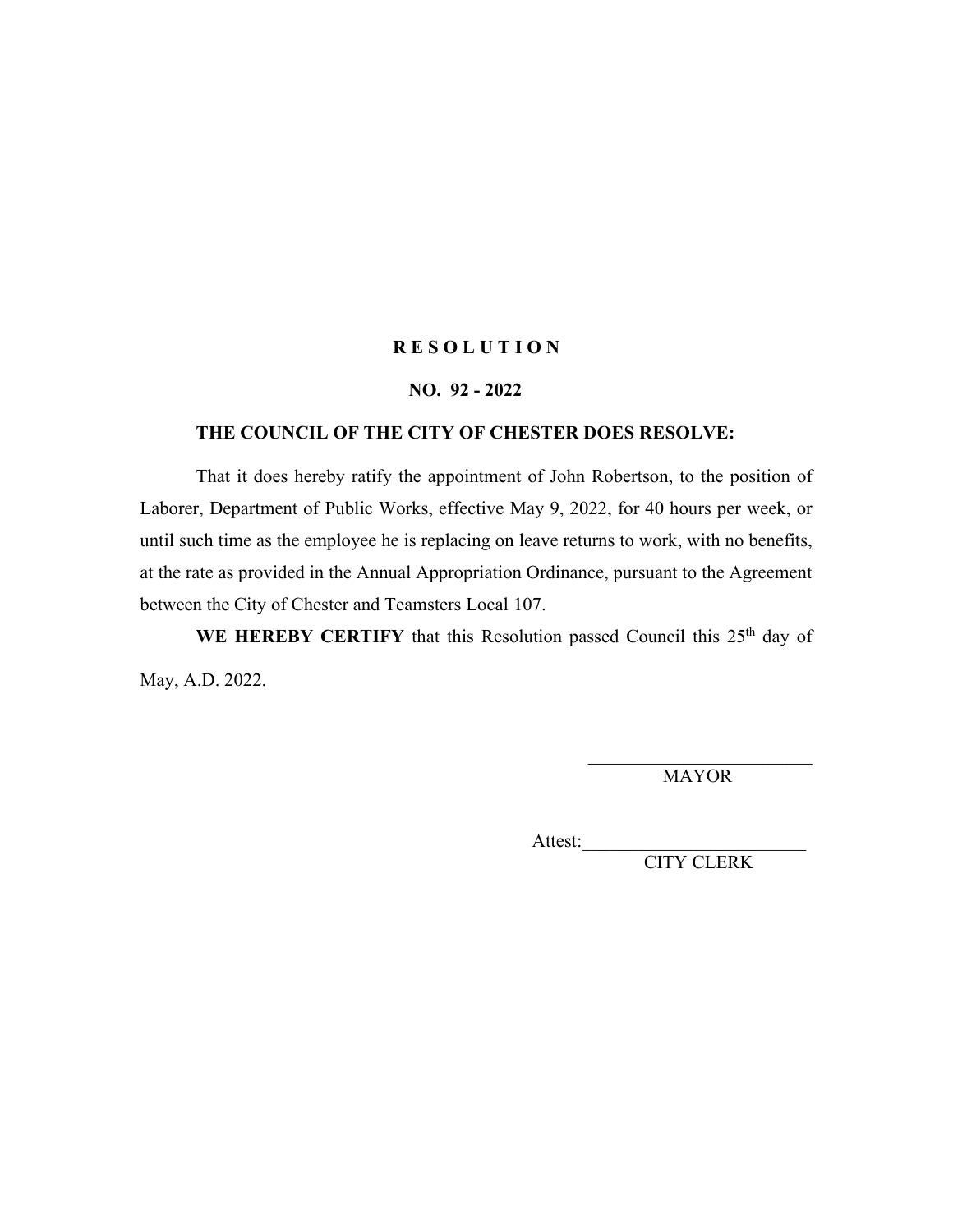### **NO. 92 - 2022**

# **THE COUNCIL OF THE CITY OF CHESTER DOES RESOLVE:**

That it does hereby ratify the appointment of John Robertson, to the position of Laborer, Department of Public Works, effective May 9, 2022, for 40 hours per week, or until such time as the employee he is replacing on leave returns to work, with no benefits, at the rate as provided in the Annual Appropriation Ordinance, pursuant to the Agreement between the City of Chester and Teamsters Local 107.

WE HEREBY CERTIFY that this Resolution passed Council this 25<sup>th</sup> day of May, A.D. 2022.

> \_\_\_\_\_\_\_\_\_\_\_\_\_\_\_\_\_\_\_\_\_\_\_\_ MAYOR

Attest:\_\_\_\_\_\_\_\_\_\_\_\_\_\_\_\_\_\_\_\_\_\_\_\_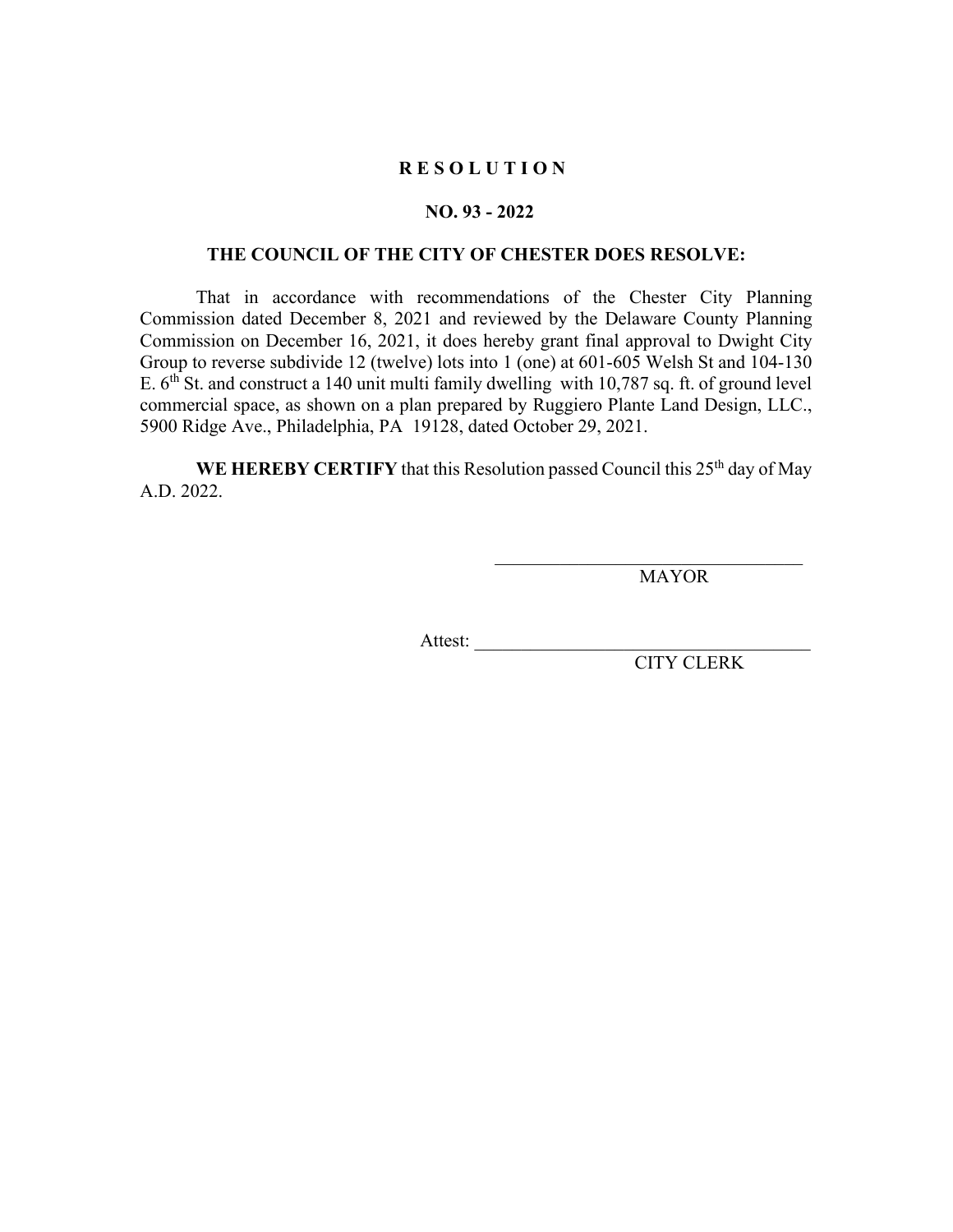### **NO. 93 - 2022**

### **THE COUNCIL OF THE CITY OF CHESTER DOES RESOLVE:**

That in accordance with recommendations of the Chester City Planning Commission dated December 8, 2021 and reviewed by the Delaware County Planning Commission on December 16, 2021, it does hereby grant final approval to Dwight City Group to reverse subdivide 12 (twelve) lots into 1 (one) at 601-605 Welsh St and 104-130 E. 6<sup>th</sup> St. and construct a 140 unit multi family dwelling with 10,787 sq. ft. of ground level commercial space, as shown on a plan prepared by Ruggiero Plante Land Design, LLC., 5900 Ridge Ave., Philadelphia, PA 19128, dated October 29, 2021.

**WE HEREBY CERTIFY** that this Resolution passed Council this 25<sup>th</sup> day of May A.D. 2022.

MAYOR

 $\mathcal{L}_\text{max}$  , and the set of the set of the set of the set of the set of the set of the set of the set of the set of the set of the set of the set of the set of the set of the set of the set of the set of the set of the

Attest:  $\frac{1}{\sqrt{1-\frac{1}{2}}}$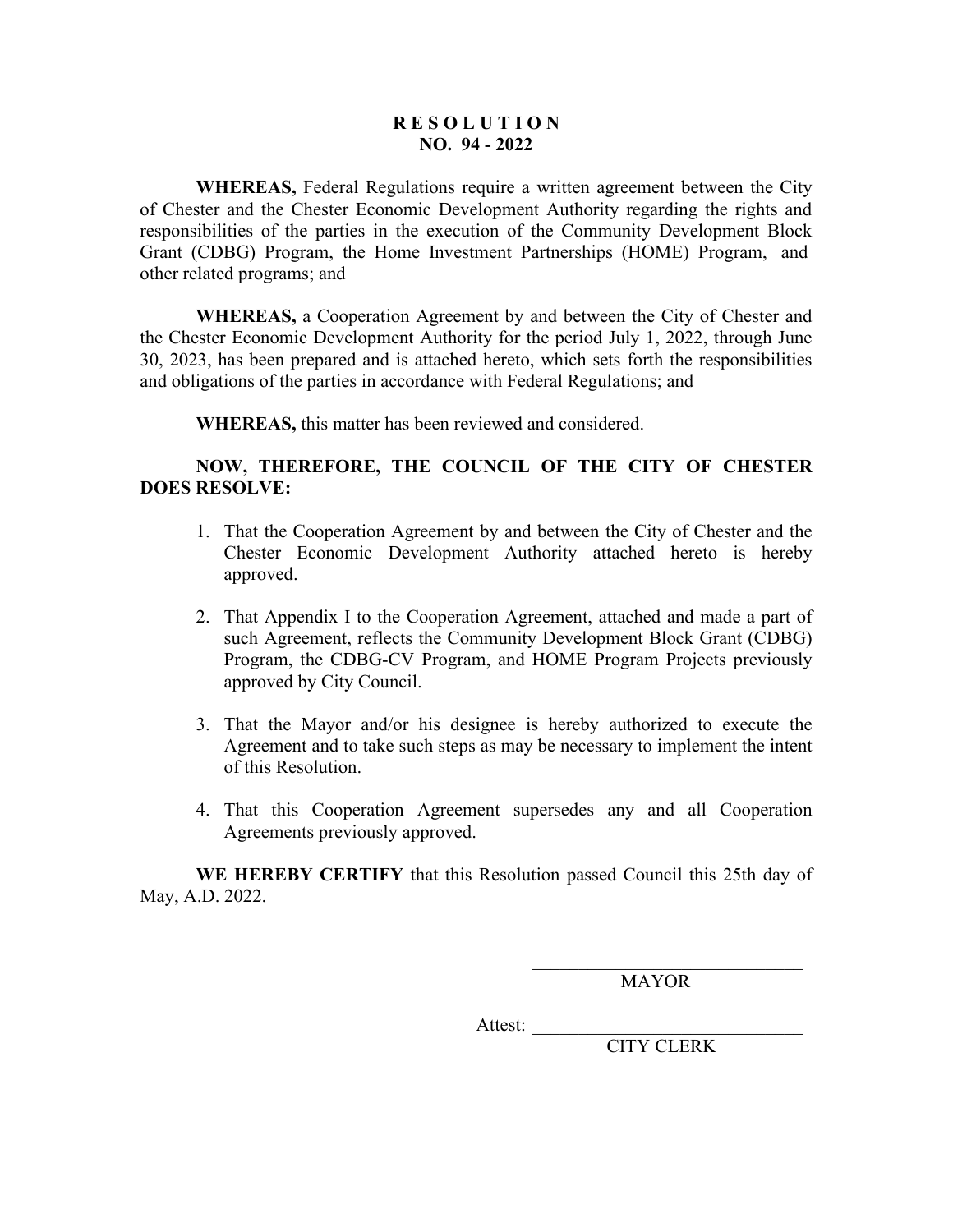# **R E S O L U T I O N NO. 94 - 2022**

**WHEREAS,** Federal Regulations require a written agreement between the City of Chester and the Chester Economic Development Authority regarding the rights and responsibilities of the parties in the execution of the Community Development Block Grant (CDBG) Program, the Home Investment Partnerships (HOME) Program, and other related programs; and

**WHEREAS,** a Cooperation Agreement by and between the City of Chester and the Chester Economic Development Authority for the period July 1, 2022, through June 30, 2023, has been prepared and is attached hereto, which sets forth the responsibilities and obligations of the parties in accordance with Federal Regulations; and

**WHEREAS,** this matter has been reviewed and considered.

# **NOW, THEREFORE, THE COUNCIL OF THE CITY OF CHESTER DOES RESOLVE:**

- 1. That the Cooperation Agreement by and between the City of Chester and the Chester Economic Development Authority attached hereto is hereby approved.
- 2. That Appendix I to the Cooperation Agreement, attached and made a part of such Agreement, reflects the Community Development Block Grant (CDBG) Program, the CDBG-CV Program, and HOME Program Projects previously approved by City Council.
- 3. That the Mayor and/or his designee is hereby authorized to execute the Agreement and to take such steps as may be necessary to implement the intent of this Resolution.
- 4. That this Cooperation Agreement supersedes any and all Cooperation Agreements previously approved.

**WE HEREBY CERTIFY** that this Resolution passed Council this 25th day of May, A.D. 2022.

MAYOR

\_\_\_\_\_\_\_\_\_\_\_\_\_\_\_\_\_\_\_\_\_\_\_\_\_\_\_\_\_

Attest: \_\_\_\_\_\_\_\_\_\_\_\_\_\_\_\_\_\_\_\_\_\_\_\_\_\_\_\_\_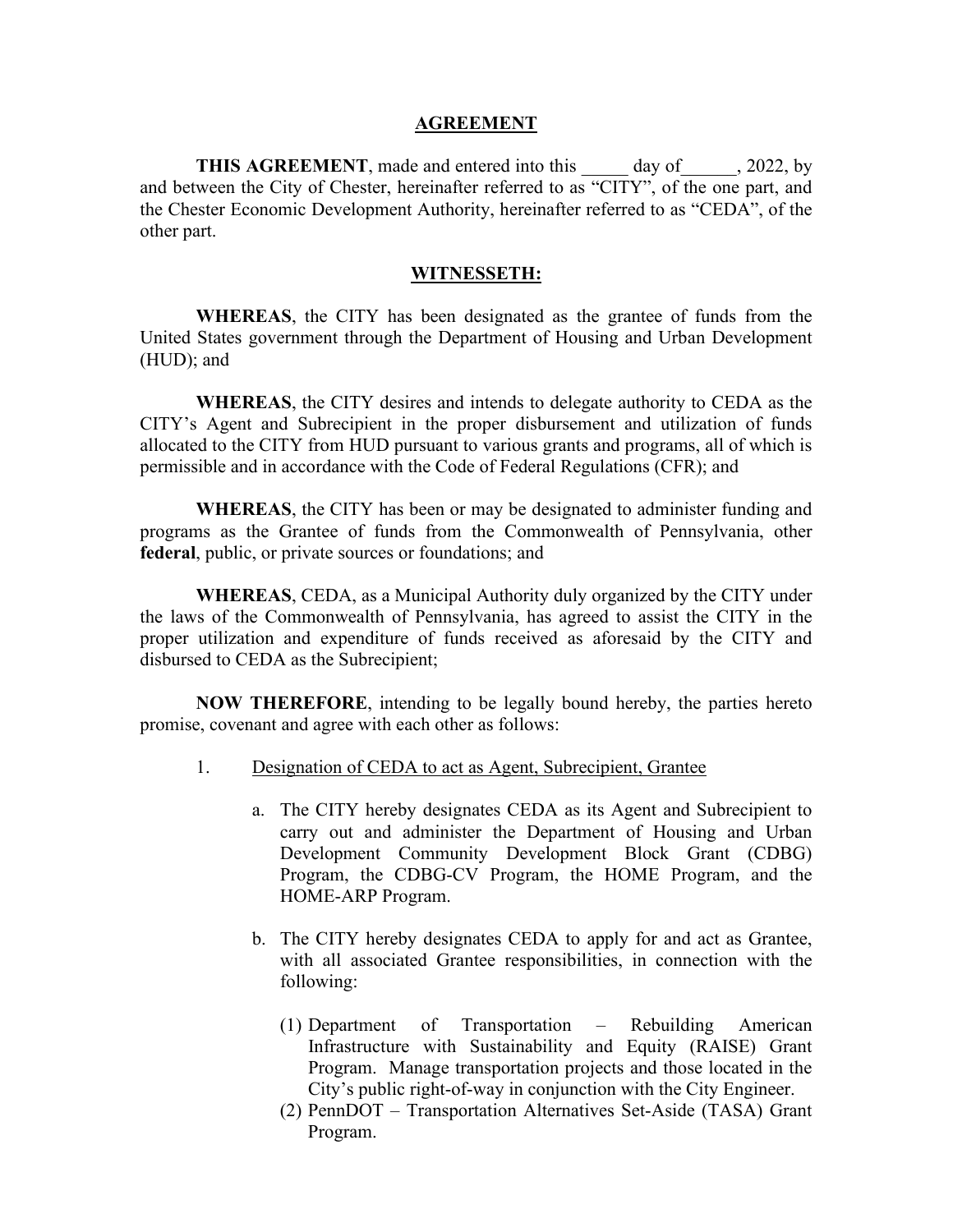### **AGREEMENT**

**THIS AGREEMENT**, made and entered into this day of 2022, by and between the City of Chester, hereinafter referred to as "CITY", of the one part, and the Chester Economic Development Authority, hereinafter referred to as "CEDA", of the other part.

# **WITNESSETH:**

**WHEREAS**, the CITY has been designated as the grantee of funds from the United States government through the Department of Housing and Urban Development (HUD); and

**WHEREAS**, the CITY desires and intends to delegate authority to CEDA as the CITY's Agent and Subrecipient in the proper disbursement and utilization of funds allocated to the CITY from HUD pursuant to various grants and programs, all of which is permissible and in accordance with the Code of Federal Regulations (CFR); and

**WHEREAS**, the CITY has been or may be designated to administer funding and programs as the Grantee of funds from the Commonwealth of Pennsylvania, other **federal**, public, or private sources or foundations; and

**WHEREAS**, CEDA, as a Municipal Authority duly organized by the CITY under the laws of the Commonwealth of Pennsylvania, has agreed to assist the CITY in the proper utilization and expenditure of funds received as aforesaid by the CITY and disbursed to CEDA as the Subrecipient;

**NOW THEREFORE**, intending to be legally bound hereby, the parties hereto promise, covenant and agree with each other as follows:

- 1. Designation of CEDA to act as Agent, Subrecipient, Grantee
	- a. The CITY hereby designates CEDA as its Agent and Subrecipient to carry out and administer the Department of Housing and Urban Development Community Development Block Grant (CDBG) Program, the CDBG-CV Program, the HOME Program, and the HOME-ARP Program.
	- b. The CITY hereby designates CEDA to apply for and act as Grantee, with all associated Grantee responsibilities, in connection with the following:
		- (1) Department of Transportation Rebuilding American Infrastructure with Sustainability and Equity (RAISE) Grant Program. Manage transportation projects and those located in the City's public right-of-way in conjunction with the City Engineer.
		- (2) PennDOT Transportation Alternatives Set-Aside (TASA) Grant Program.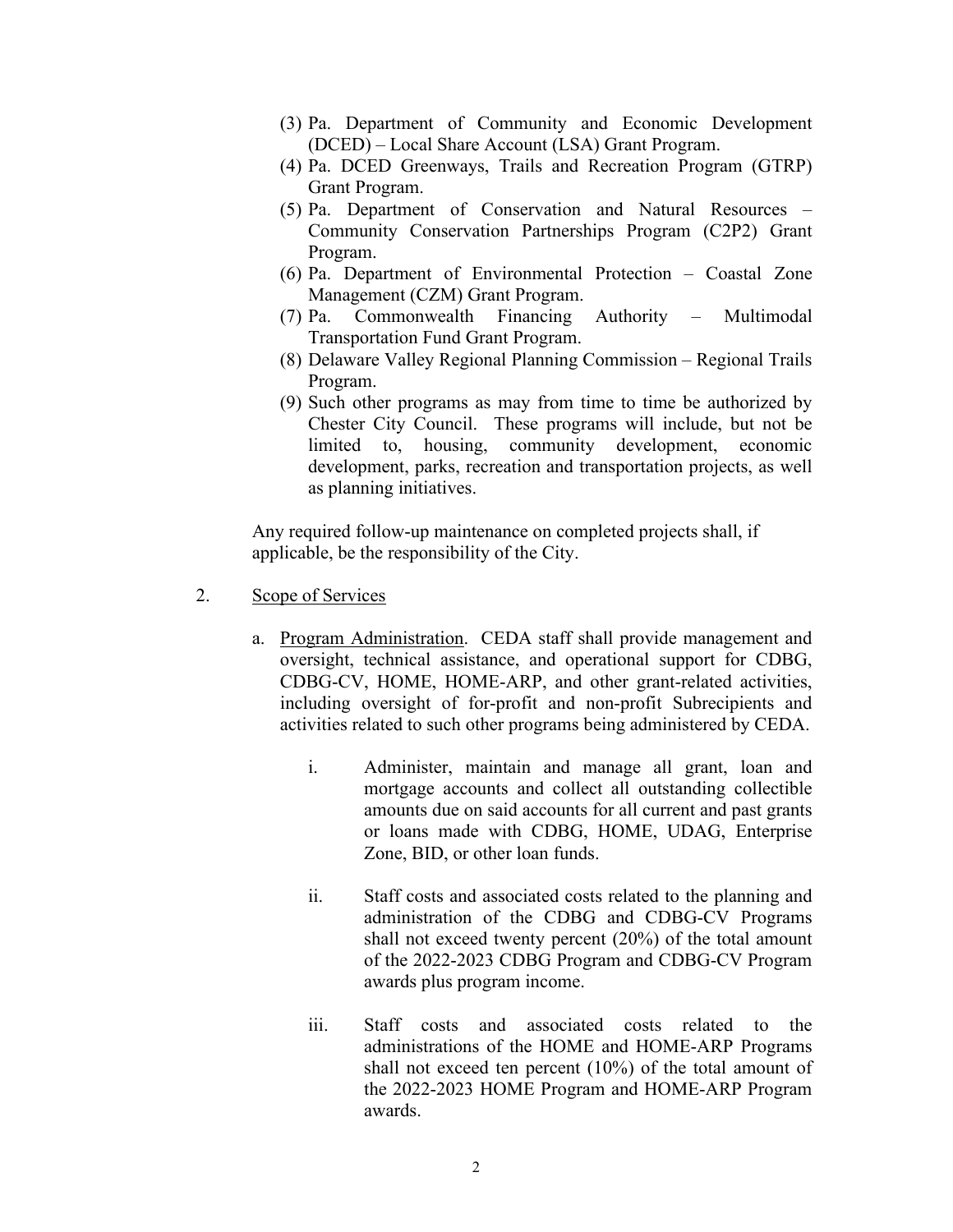- (3) Pa. Department of Community and Economic Development (DCED) – Local Share Account (LSA) Grant Program.
- (4) Pa. DCED Greenways, Trails and Recreation Program (GTRP) Grant Program.
- (5) Pa. Department of Conservation and Natural Resources Community Conservation Partnerships Program (C2P2) Grant Program.
- (6) Pa. Department of Environmental Protection Coastal Zone Management (CZM) Grant Program.
- (7) Pa. Commonwealth Financing Authority Multimodal Transportation Fund Grant Program.
- (8) Delaware Valley Regional Planning Commission Regional Trails Program.
- (9) Such other programs as may from time to time be authorized by Chester City Council. These programs will include, but not be limited to, housing, community development, economic development, parks, recreation and transportation projects, as well as planning initiatives.

 Any required follow-up maintenance on completed projects shall, if applicable, be the responsibility of the City.

- 2. Scope of Services
	- a. Program Administration. CEDA staff shall provide management and oversight, technical assistance, and operational support for CDBG, CDBG-CV, HOME, HOME-ARP, and other grant-related activities, including oversight of for-profit and non-profit Subrecipients and activities related to such other programs being administered by CEDA.
		- i. Administer, maintain and manage all grant, loan and mortgage accounts and collect all outstanding collectible amounts due on said accounts for all current and past grants or loans made with CDBG, HOME, UDAG, Enterprise Zone, BID, or other loan funds.
		- ii. Staff costs and associated costs related to the planning and administration of the CDBG and CDBG-CV Programs shall not exceed twenty percent (20%) of the total amount of the 2022-2023 CDBG Program and CDBG-CV Program awards plus program income.
		- iii. Staff costs and associated costs related to the administrations of the HOME and HOME-ARP Programs shall not exceed ten percent (10%) of the total amount of the 2022-2023 HOME Program and HOME-ARP Program awards.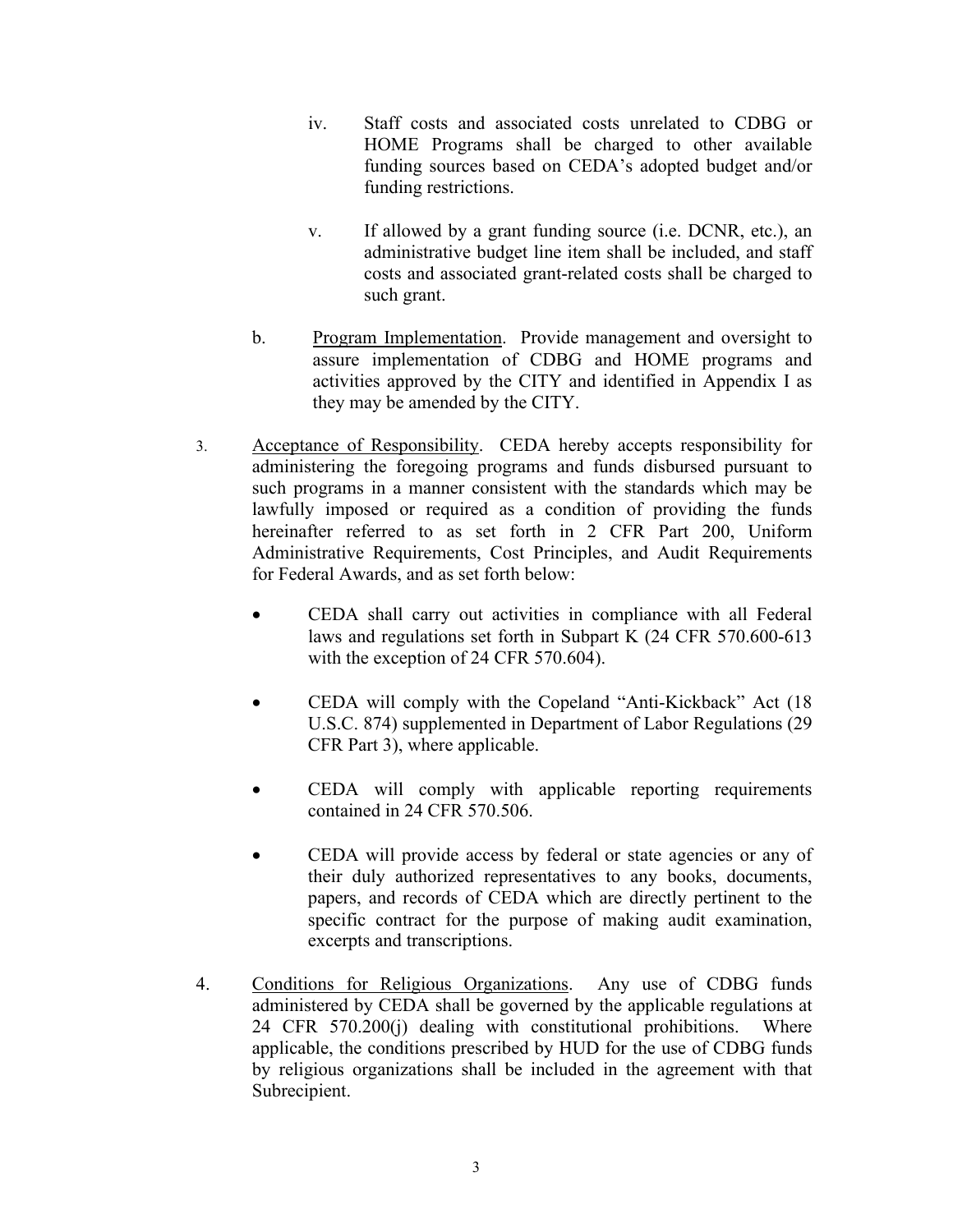- iv. Staff costs and associated costs unrelated to CDBG or HOME Programs shall be charged to other available funding sources based on CEDA's adopted budget and/or funding restrictions.
- v. If allowed by a grant funding source (i.e. DCNR, etc.), an administrative budget line item shall be included, and staff costs and associated grant-related costs shall be charged to such grant.
- b. Program Implementation. Provide management and oversight to assure implementation of CDBG and HOME programs and activities approved by the CITY and identified in Appendix I as they may be amended by the CITY.
- 3. Acceptance of Responsibility. CEDA hereby accepts responsibility for administering the foregoing programs and funds disbursed pursuant to such programs in a manner consistent with the standards which may be lawfully imposed or required as a condition of providing the funds hereinafter referred to as set forth in 2 CFR Part 200, Uniform Administrative Requirements, Cost Principles, and Audit Requirements for Federal Awards, and as set forth below:
	- CEDA shall carry out activities in compliance with all Federal laws and regulations set forth in Subpart K (24 CFR 570.600-613 with the exception of 24 CFR 570.604).
	- CEDA will comply with the Copeland "Anti-Kickback" Act (18) U.S.C. 874) supplemented in Department of Labor Regulations (29 CFR Part 3), where applicable.
	- CEDA will comply with applicable reporting requirements contained in 24 CFR 570.506.
	- CEDA will provide access by federal or state agencies or any of their duly authorized representatives to any books, documents, papers, and records of CEDA which are directly pertinent to the specific contract for the purpose of making audit examination, excerpts and transcriptions.
- 4. Conditions for Religious Organizations. Any use of CDBG funds administered by CEDA shall be governed by the applicable regulations at 24 CFR 570.200(j) dealing with constitutional prohibitions. Where applicable, the conditions prescribed by HUD for the use of CDBG funds by religious organizations shall be included in the agreement with that Subrecipient.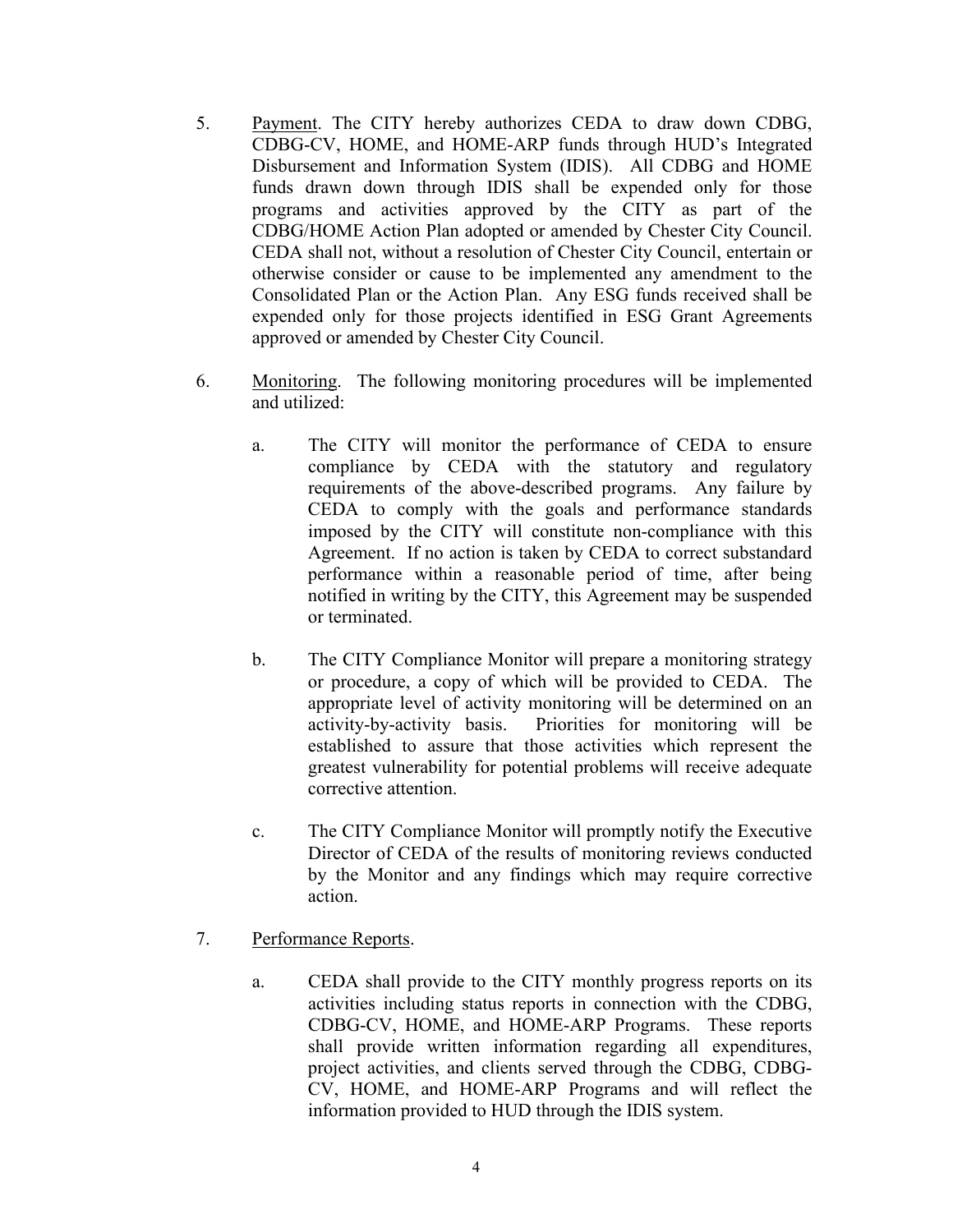- 5. Payment. The CITY hereby authorizes CEDA to draw down CDBG, CDBG-CV, HOME, and HOME-ARP funds through HUD's Integrated Disbursement and Information System (IDIS). All CDBG and HOME funds drawn down through IDIS shall be expended only for those programs and activities approved by the CITY as part of the CDBG/HOME Action Plan adopted or amended by Chester City Council. CEDA shall not, without a resolution of Chester City Council, entertain or otherwise consider or cause to be implemented any amendment to the Consolidated Plan or the Action Plan. Any ESG funds received shall be expended only for those projects identified in ESG Grant Agreements approved or amended by Chester City Council.
- 6. Monitoring. The following monitoring procedures will be implemented and utilized:
	- a. The CITY will monitor the performance of CEDA to ensure compliance by CEDA with the statutory and regulatory requirements of the above-described programs. Any failure by CEDA to comply with the goals and performance standards imposed by the CITY will constitute non-compliance with this Agreement. If no action is taken by CEDA to correct substandard performance within a reasonable period of time, after being notified in writing by the CITY, this Agreement may be suspended or terminated.
	- b. The CITY Compliance Monitor will prepare a monitoring strategy or procedure, a copy of which will be provided to CEDA. The appropriate level of activity monitoring will be determined on an activity-by-activity basis. Priorities for monitoring will be established to assure that those activities which represent the greatest vulnerability for potential problems will receive adequate corrective attention.
	- c. The CITY Compliance Monitor will promptly notify the Executive Director of CEDA of the results of monitoring reviews conducted by the Monitor and any findings which may require corrective action.
- 7. Performance Reports.
	- a. CEDA shall provide to the CITY monthly progress reports on its activities including status reports in connection with the CDBG, CDBG-CV, HOME, and HOME-ARP Programs. These reports shall provide written information regarding all expenditures, project activities, and clients served through the CDBG, CDBG-CV, HOME, and HOME-ARP Programs and will reflect the information provided to HUD through the IDIS system.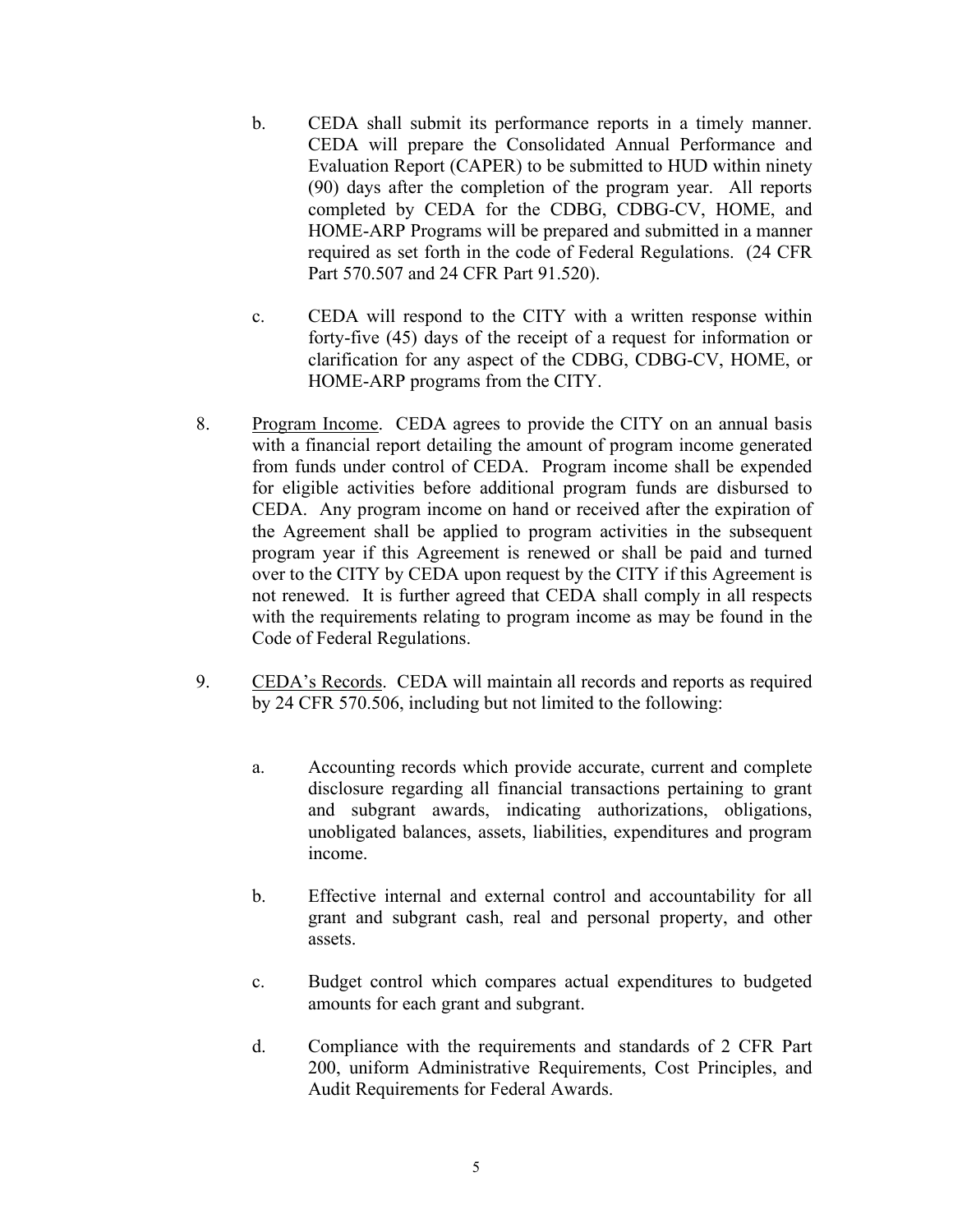- b. CEDA shall submit its performance reports in a timely manner. CEDA will prepare the Consolidated Annual Performance and Evaluation Report (CAPER) to be submitted to HUD within ninety (90) days after the completion of the program year. All reports completed by CEDA for the CDBG, CDBG-CV, HOME, and HOME-ARP Programs will be prepared and submitted in a manner required as set forth in the code of Federal Regulations. (24 CFR Part 570.507 and 24 CFR Part 91.520).
- c. CEDA will respond to the CITY with a written response within forty-five (45) days of the receipt of a request for information or clarification for any aspect of the CDBG, CDBG-CV, HOME, or HOME-ARP programs from the CITY.
- 8. Program Income. CEDA agrees to provide the CITY on an annual basis with a financial report detailing the amount of program income generated from funds under control of CEDA. Program income shall be expended for eligible activities before additional program funds are disbursed to CEDA. Any program income on hand or received after the expiration of the Agreement shall be applied to program activities in the subsequent program year if this Agreement is renewed or shall be paid and turned over to the CITY by CEDA upon request by the CITY if this Agreement is not renewed. It is further agreed that CEDA shall comply in all respects with the requirements relating to program income as may be found in the Code of Federal Regulations.
- 9. CEDA's Records. CEDA will maintain all records and reports as required by 24 CFR 570.506, including but not limited to the following:
	- a. Accounting records which provide accurate, current and complete disclosure regarding all financial transactions pertaining to grant and subgrant awards, indicating authorizations, obligations, unobligated balances, assets, liabilities, expenditures and program income.
	- b. Effective internal and external control and accountability for all grant and subgrant cash, real and personal property, and other assets.
	- c. Budget control which compares actual expenditures to budgeted amounts for each grant and subgrant.
	- d. Compliance with the requirements and standards of 2 CFR Part 200, uniform Administrative Requirements, Cost Principles, and Audit Requirements for Federal Awards.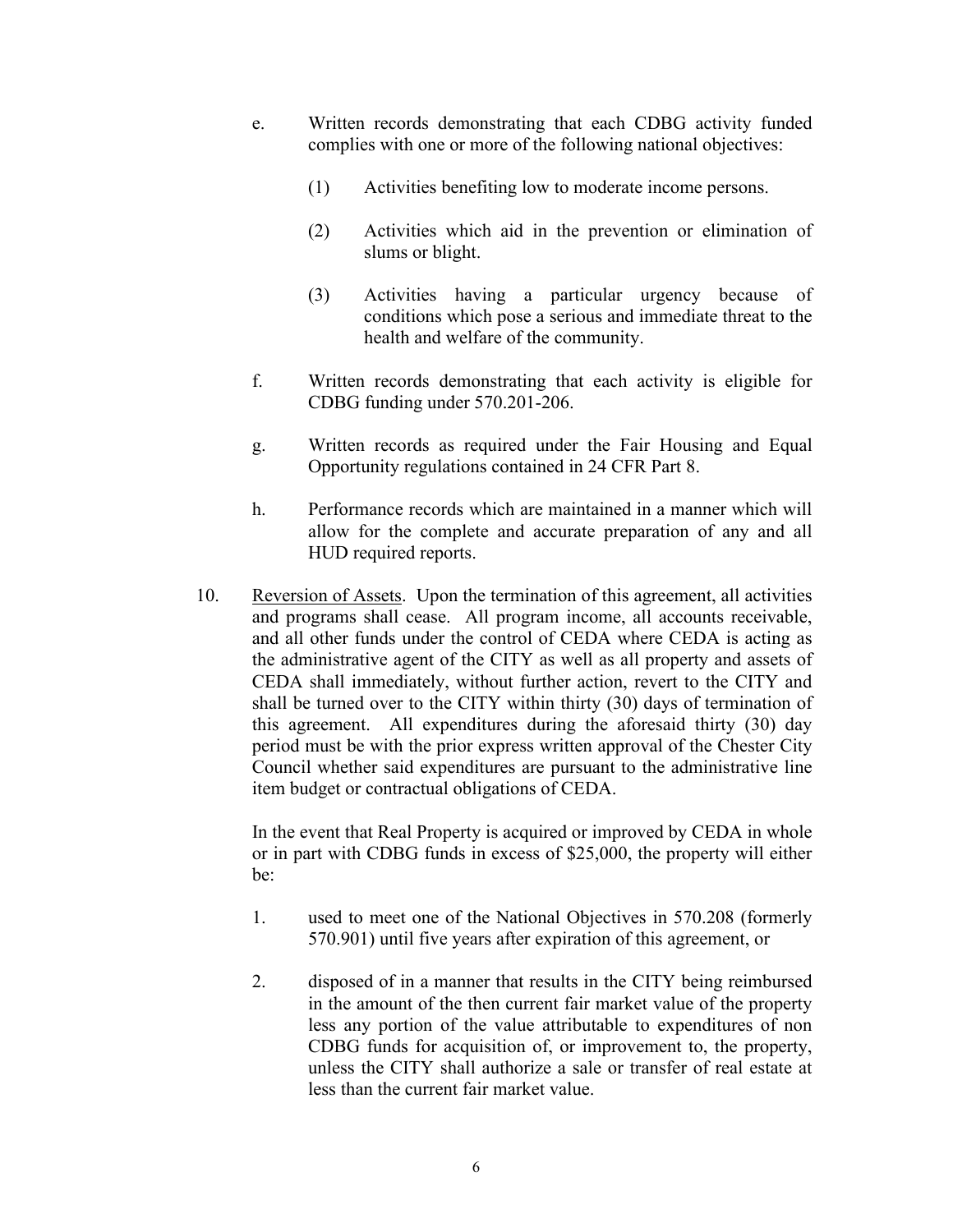- e. Written records demonstrating that each CDBG activity funded complies with one or more of the following national objectives:
	- (1) Activities benefiting low to moderate income persons.
	- (2) Activities which aid in the prevention or elimination of slums or blight.
	- (3) Activities having a particular urgency because of conditions which pose a serious and immediate threat to the health and welfare of the community.
- f. Written records demonstrating that each activity is eligible for CDBG funding under 570.201-206.
- g. Written records as required under the Fair Housing and Equal Opportunity regulations contained in 24 CFR Part 8.
- h. Performance records which are maintained in a manner which will allow for the complete and accurate preparation of any and all HUD required reports.
- 10. Reversion of Assets. Upon the termination of this agreement, all activities and programs shall cease. All program income, all accounts receivable, and all other funds under the control of CEDA where CEDA is acting as the administrative agent of the CITY as well as all property and assets of CEDA shall immediately, without further action, revert to the CITY and shall be turned over to the CITY within thirty (30) days of termination of this agreement. All expenditures during the aforesaid thirty (30) day period must be with the prior express written approval of the Chester City Council whether said expenditures are pursuant to the administrative line item budget or contractual obligations of CEDA.

In the event that Real Property is acquired or improved by CEDA in whole or in part with CDBG funds in excess of \$25,000, the property will either be:

- 1. used to meet one of the National Objectives in 570.208 (formerly 570.901) until five years after expiration of this agreement, or
- 2. disposed of in a manner that results in the CITY being reimbursed in the amount of the then current fair market value of the property less any portion of the value attributable to expenditures of non CDBG funds for acquisition of, or improvement to, the property, unless the CITY shall authorize a sale or transfer of real estate at less than the current fair market value.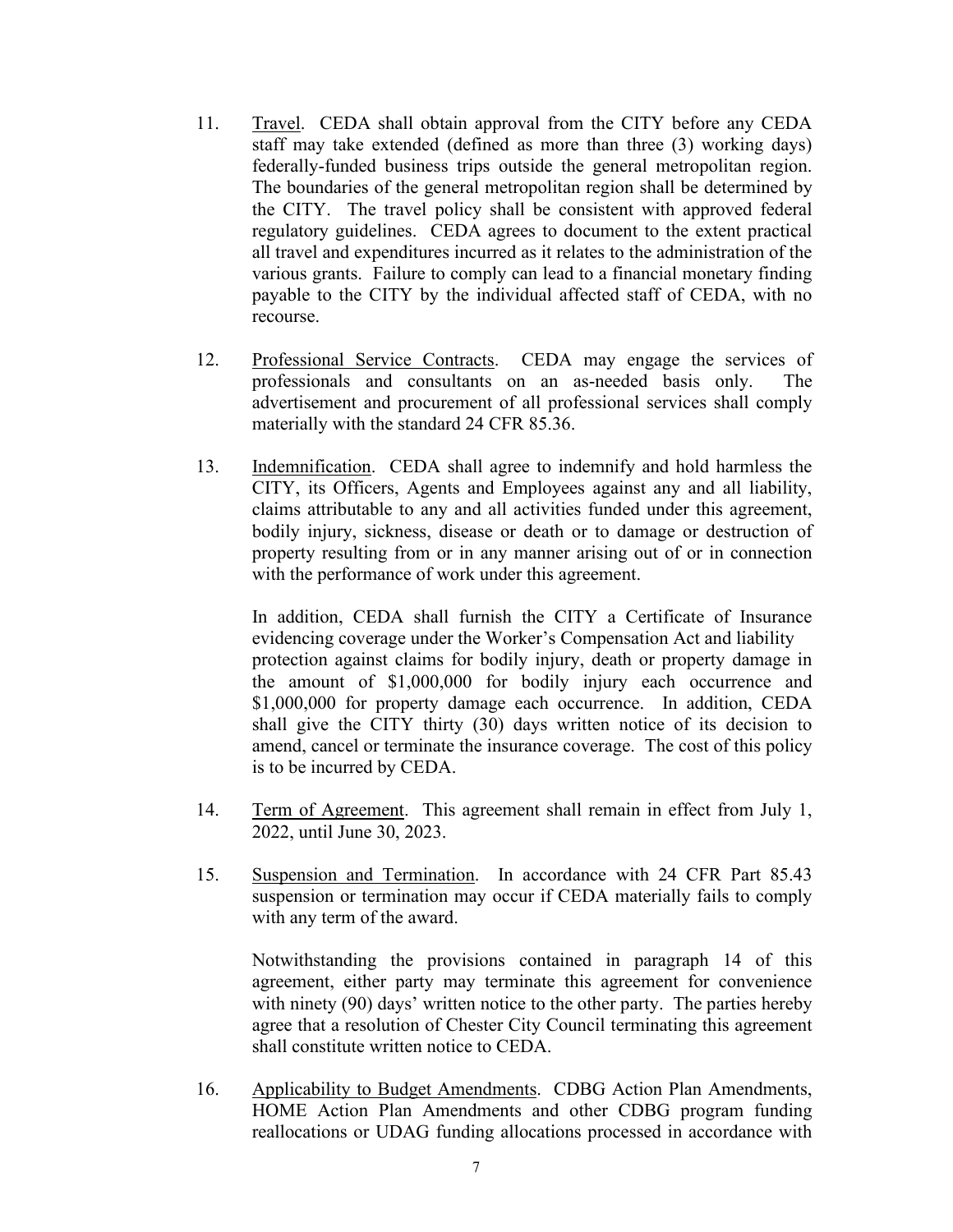- 11. Travel. CEDA shall obtain approval from the CITY before any CEDA staff may take extended (defined as more than three (3) working days) federally-funded business trips outside the general metropolitan region. The boundaries of the general metropolitan region shall be determined by the CITY. The travel policy shall be consistent with approved federal regulatory guidelines. CEDA agrees to document to the extent practical all travel and expenditures incurred as it relates to the administration of the various grants. Failure to comply can lead to a financial monetary finding payable to the CITY by the individual affected staff of CEDA, with no recourse.
- 12. Professional Service Contracts. CEDA may engage the services of professionals and consultants on an as-needed basis only. The advertisement and procurement of all professional services shall comply materially with the standard 24 CFR 85.36.
- 13. Indemnification. CEDA shall agree to indemnify and hold harmless the CITY, its Officers, Agents and Employees against any and all liability, claims attributable to any and all activities funded under this agreement, bodily injury, sickness, disease or death or to damage or destruction of property resulting from or in any manner arising out of or in connection with the performance of work under this agreement.

In addition, CEDA shall furnish the CITY a Certificate of Insurance evidencing coverage under the Worker's Compensation Act and liability protection against claims for bodily injury, death or property damage in the amount of \$1,000,000 for bodily injury each occurrence and \$1,000,000 for property damage each occurrence. In addition, CEDA shall give the CITY thirty (30) days written notice of its decision to amend, cancel or terminate the insurance coverage. The cost of this policy is to be incurred by CEDA.

- 14. Term of Agreement. This agreement shall remain in effect from July 1, 2022, until June 30, 2023.
- 15. Suspension and Termination. In accordance with 24 CFR Part 85.43 suspension or termination may occur if CEDA materially fails to comply with any term of the award.

Notwithstanding the provisions contained in paragraph 14 of this agreement, either party may terminate this agreement for convenience with ninety (90) days' written notice to the other party. The parties hereby agree that a resolution of Chester City Council terminating this agreement shall constitute written notice to CEDA.

16. Applicability to Budget Amendments. CDBG Action Plan Amendments, HOME Action Plan Amendments and other CDBG program funding reallocations or UDAG funding allocations processed in accordance with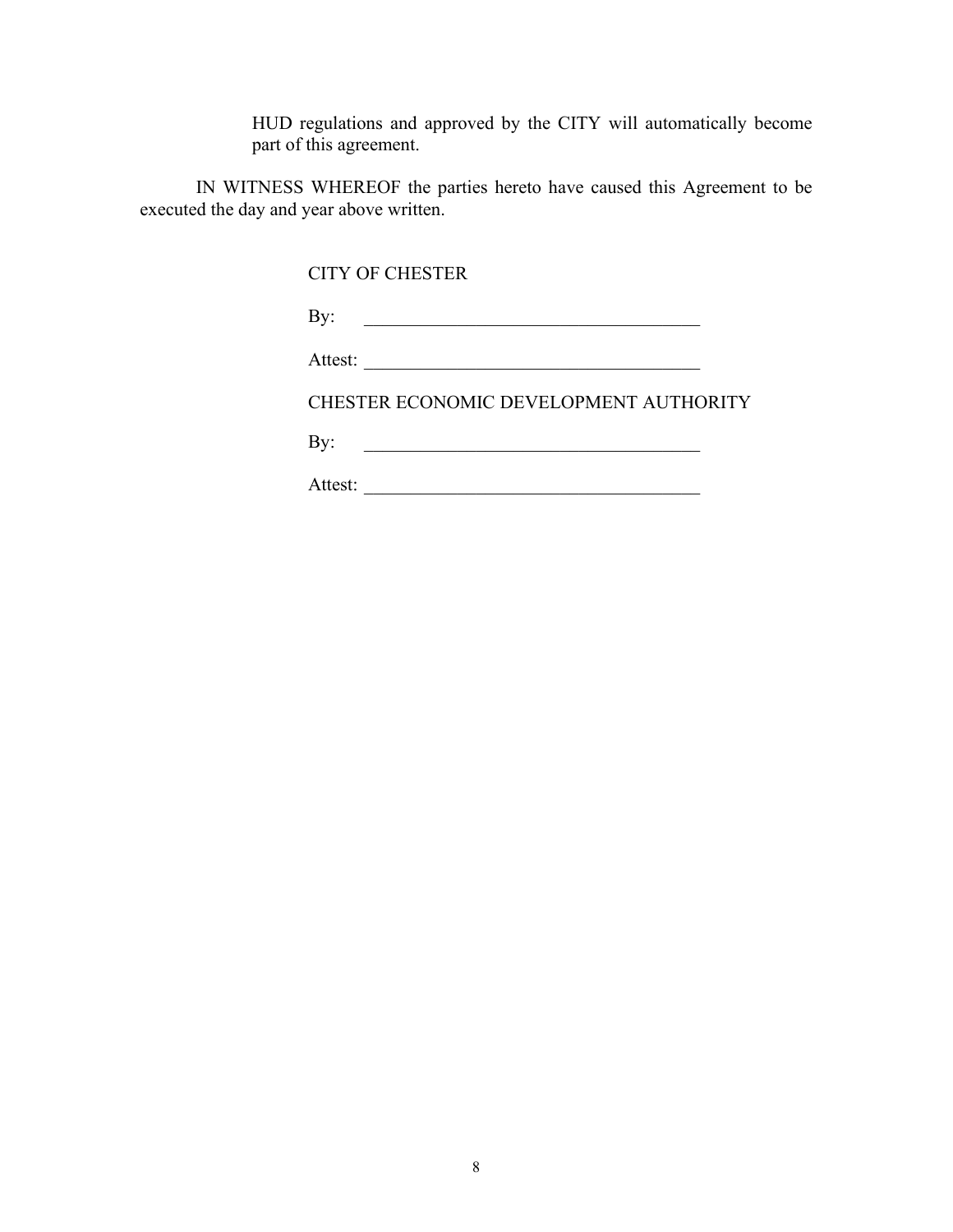HUD regulations and approved by the CITY will automatically become part of this agreement.

IN WITNESS WHEREOF the parties hereto have caused this Agreement to be executed the day and year above written.

CITY OF CHESTER

| л<br>いつしょ<br>-<br>----<br>. . |
|-------------------------------|
|-------------------------------|

CHESTER ECONOMIC DEVELOPMENT AUTHORITY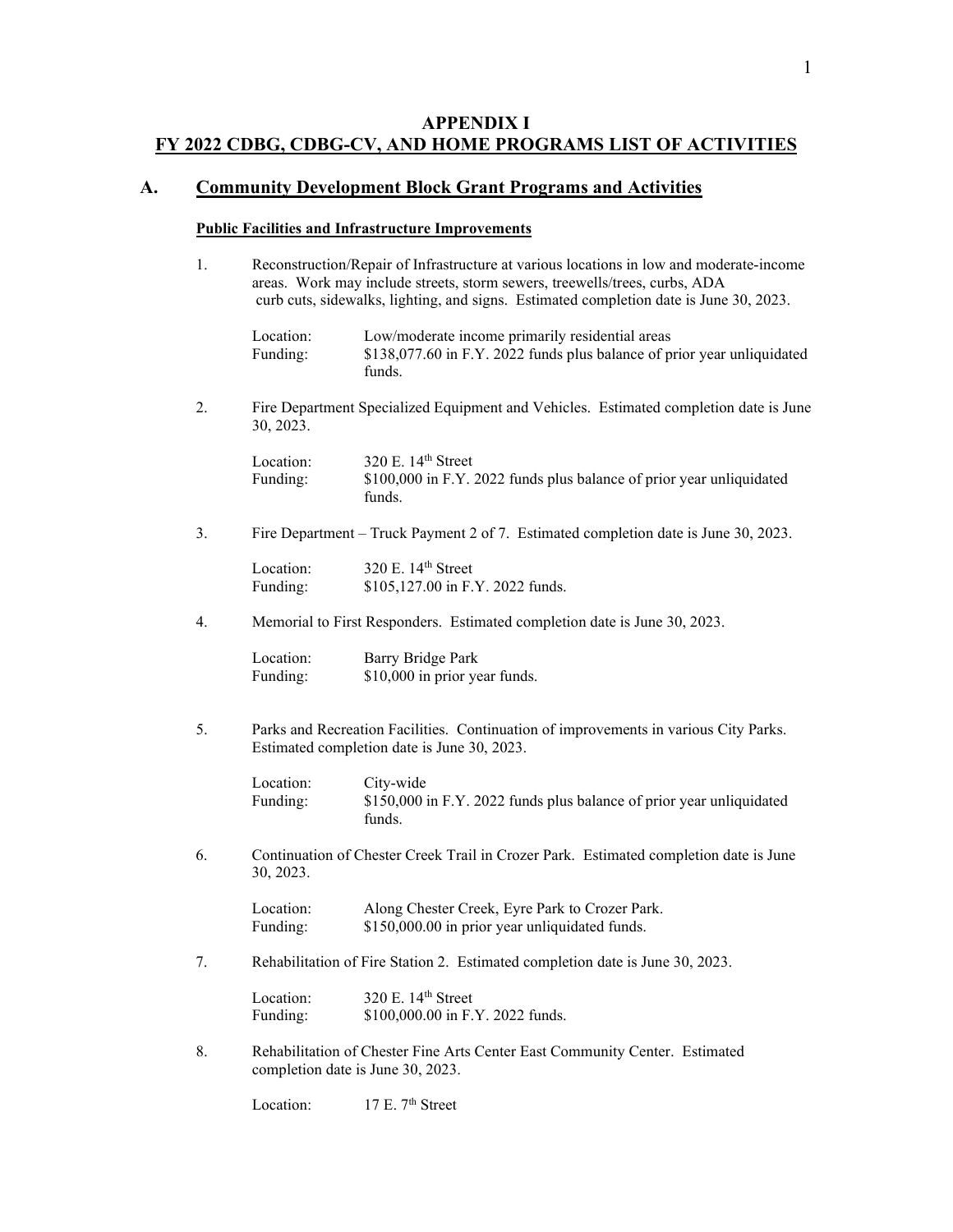# **APPENDIX I FY 2022 CDBG, CDBG-CV, AND HOME PROGRAMS LIST OF ACTIVITIES**

## **A. Community Development Block Grant Programs and Activities**

#### **Public Facilities and Infrastructure Improvements**

1. Reconstruction/Repair of Infrastructure at various locations in low and moderate-income areas. Work may include streets, storm sewers, treewells/trees, curbs, ADA curb cuts, sidewalks, lighting, and signs. Estimated completion date is June 30, 2023.

| Location: | Low/moderate income primarily residential areas                         |
|-----------|-------------------------------------------------------------------------|
| Funding:  | \$138,077.60 in F.Y. 2022 funds plus balance of prior year unliquidated |
|           | funds.                                                                  |

2. Fire Department Specialized Equipment and Vehicles. Estimated completion date is June 30, 2023.

| Location: | 320 E. $14th$ Street                                                 |
|-----------|----------------------------------------------------------------------|
| Funding:  | \$100,000 in F.Y. 2022 funds plus balance of prior year unliquidated |
|           | funds.                                                               |

3. Fire Department – Truck Payment 2 of 7. Estimated completion date is June 30, 2023.

| Location: | 320 E. $14th$ Street             |
|-----------|----------------------------------|
| Funding:  | \$105,127.00 in F.Y. 2022 funds. |

4. Memorial to First Responders. Estimated completion date is June 30, 2023.

| Location: | Barry Bridge Park             |
|-----------|-------------------------------|
| Funding:  | \$10,000 in prior year funds. |

5. Parks and Recreation Facilities. Continuation of improvements in various City Parks. Estimated completion date is June 30, 2023.

| Location: | City-wide                                                            |
|-----------|----------------------------------------------------------------------|
| Funding:  | \$150,000 in F.Y. 2022 funds plus balance of prior year unliquidated |
|           | funds.                                                               |

6. Continuation of Chester Creek Trail in Crozer Park. Estimated completion date is June 30, 2023.

| Location: | Along Chester Creek, Eyre Park to Crozer Park. |
|-----------|------------------------------------------------|
| Funding:  | \$150,000.00 in prior year unliquidated funds. |

7. Rehabilitation of Fire Station 2. Estimated completion date is June 30, 2023.

| Location: | 320 E. $14th$ Street             |
|-----------|----------------------------------|
| Funding:  | \$100,000.00 in F.Y. 2022 funds. |

8. Rehabilitation of Chester Fine Arts Center East Community Center. Estimated completion date is June 30, 2023.

Location: 17 E. 7<sup>th</sup> Street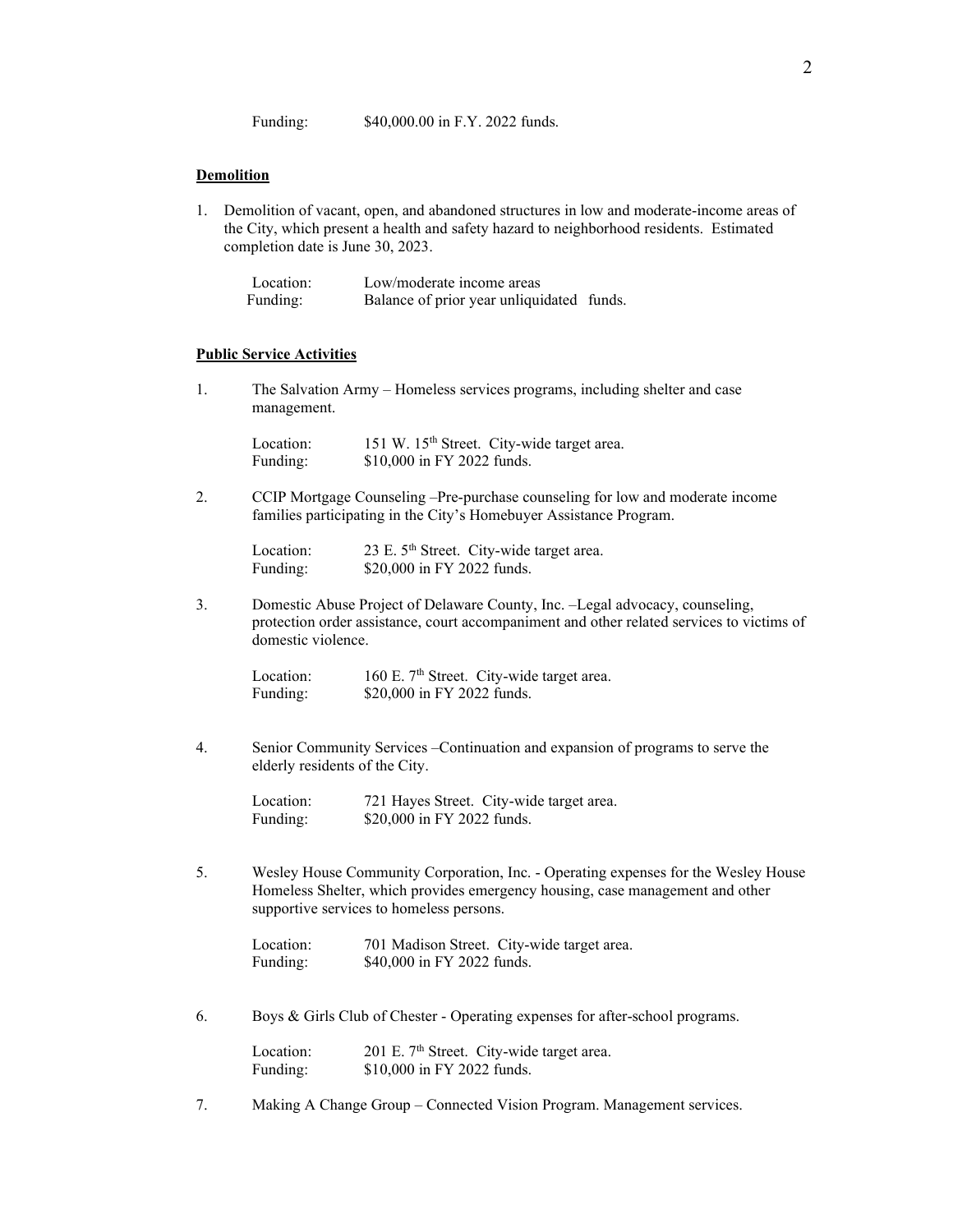#### **Demolition**

1. Demolition of vacant, open, and abandoned structures in low and moderate-income areas of the City, which present a health and safety hazard to neighborhood residents. Estimated completion date is June 30, 2023.

| Location: | Low/moderate income areas                 |  |
|-----------|-------------------------------------------|--|
| Funding:  | Balance of prior year unliquidated funds. |  |

#### **Public Service Activities**

1. The Salvation Army – Homeless services programs, including shelter and case management.

| Location: |                            | 151 W. 15 <sup>th</sup> Street. City-wide target area. |
|-----------|----------------------------|--------------------------------------------------------|
| Funding:  | \$10,000 in FY 2022 funds. |                                                        |

2. CCIP Mortgage Counseling –Pre-purchase counseling for low and moderate income families participating in the City's Homebuyer Assistance Program.

| Location: | 23 E. 5 <sup>th</sup> Street. City-wide target area. |
|-----------|------------------------------------------------------|
| Funding:  | \$20,000 in FY 2022 funds.                           |

3. Domestic Abuse Project of Delaware County, Inc. –Legal advocacy, counseling, protection order assistance, court accompaniment and other related services to victims of domestic violence.

| Location: | 160 E. 7 <sup>th</sup> Street. City-wide target area. |
|-----------|-------------------------------------------------------|
| Funding:  | \$20,000 in FY 2022 funds.                            |

4. Senior Community Services –Continuation and expansion of programs to serve the elderly residents of the City.

| Location: | 721 Hayes Street. City-wide target area. |
|-----------|------------------------------------------|
| Funding:  | \$20,000 in FY 2022 funds.               |

5. Wesley House Community Corporation, Inc. - Operating expenses for the Wesley House Homeless Shelter, which provides emergency housing, case management and other supportive services to homeless persons.

| Location: | 701 Madison Street. City-wide target area. |
|-----------|--------------------------------------------|
| Funding:  | \$40,000 in FY 2022 funds.                 |

6. Boys & Girls Club of Chester - Operating expenses for after-school programs.

| Location: | 201 E. 7 <sup>th</sup> Street. City-wide target area. |
|-----------|-------------------------------------------------------|
| Funding:  | \$10,000 in FY 2022 funds.                            |

7. Making A Change Group – Connected Vision Program. Management services.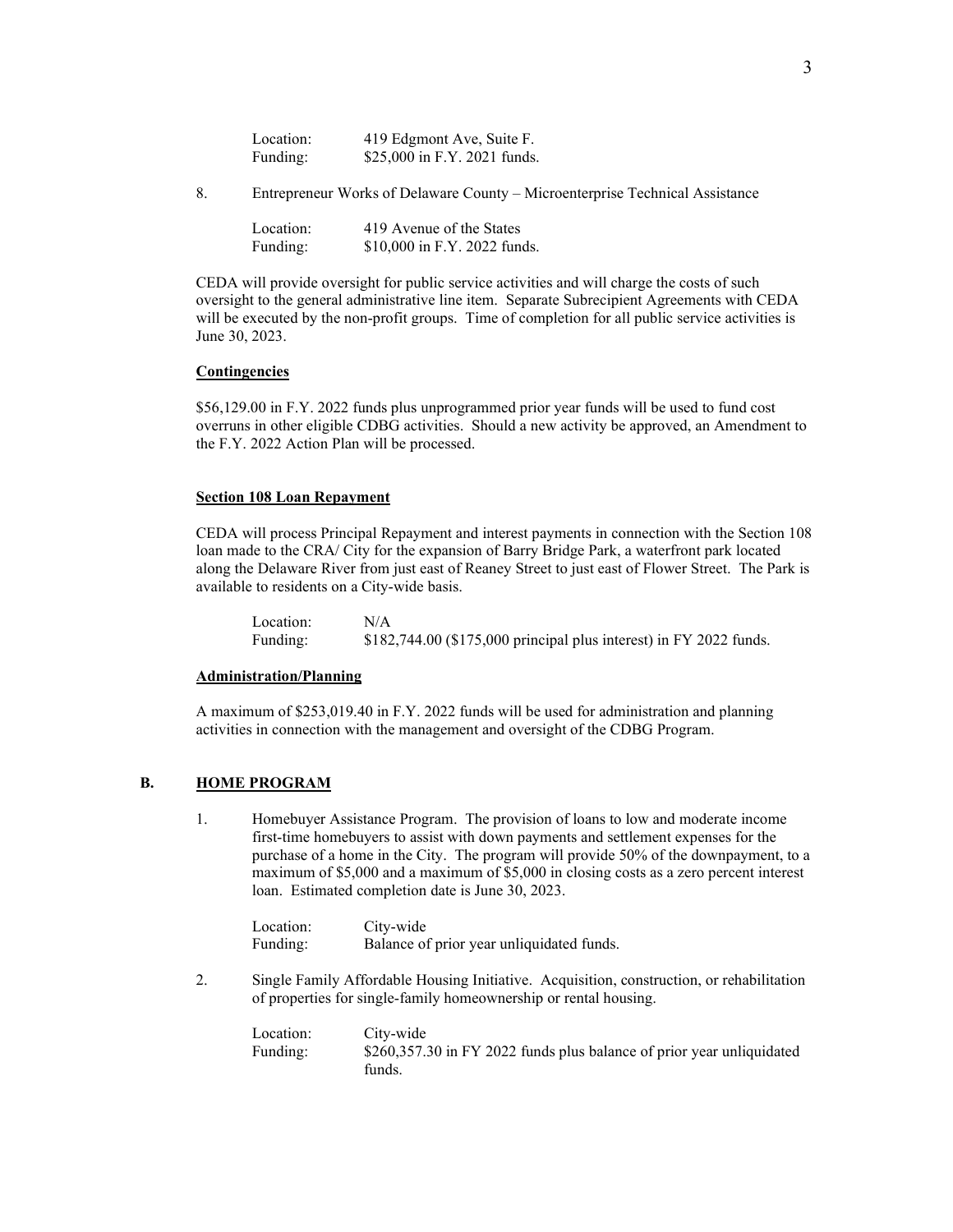| Location: | 419 Edgmont Ave, Suite F.    |
|-----------|------------------------------|
| Funding:  | \$25,000 in F.Y. 2021 funds. |

8. Entrepreneur Works of Delaware County – Microenterprise Technical Assistance

| Location: | 419 Avenue of the States     |
|-----------|------------------------------|
| Funding:  | \$10,000 in F.Y. 2022 funds. |

CEDA will provide oversight for public service activities and will charge the costs of such oversight to the general administrative line item. Separate Subrecipient Agreements with CEDA will be executed by the non-profit groups. Time of completion for all public service activities is June 30, 2023.

#### **Contingencies**

\$56,129.00 in F.Y. 2022 funds plus unprogrammed prior year funds will be used to fund cost overruns in other eligible CDBG activities. Should a new activity be approved, an Amendment to the F.Y. 2022 Action Plan will be processed.

#### **Section 108 Loan Repayment**

CEDA will process Principal Repayment and interest payments in connection with the Section 108 loan made to the CRA/ City for the expansion of Barry Bridge Park, a waterfront park located along the Delaware River from just east of Reaney Street to just east of Flower Street. The Park is available to residents on a City-wide basis.

| Location: | N/A                                                                |
|-----------|--------------------------------------------------------------------|
| Funding:  | \$182,744.00 (\$175,000 principal plus interest) in FY 2022 funds. |

#### **Administration/Planning**

A maximum of \$253,019.40 in F.Y. 2022 funds will be used for administration and planning activities in connection with the management and oversight of the CDBG Program.

#### **B. HOME PROGRAM**

1. Homebuyer Assistance Program. The provision of loans to low and moderate income first-time homebuyers to assist with down payments and settlement expenses for the purchase of a home in the City. The program will provide 50% of the downpayment, to a maximum of \$5,000 and a maximum of \$5,000 in closing costs as a zero percent interest loan. Estimated completion date is June 30, 2023.

| Location: | City-wide                                 |
|-----------|-------------------------------------------|
| Funding:  | Balance of prior year unliquidated funds. |

2. Single Family Affordable Housing Initiative. Acquisition, construction, or rehabilitation of properties for single-family homeownership or rental housing.

| Location: | City-wide                                                             |
|-----------|-----------------------------------------------------------------------|
| Funding:  | \$260,357.30 in FY 2022 funds plus balance of prior year unliquidated |
|           | funds.                                                                |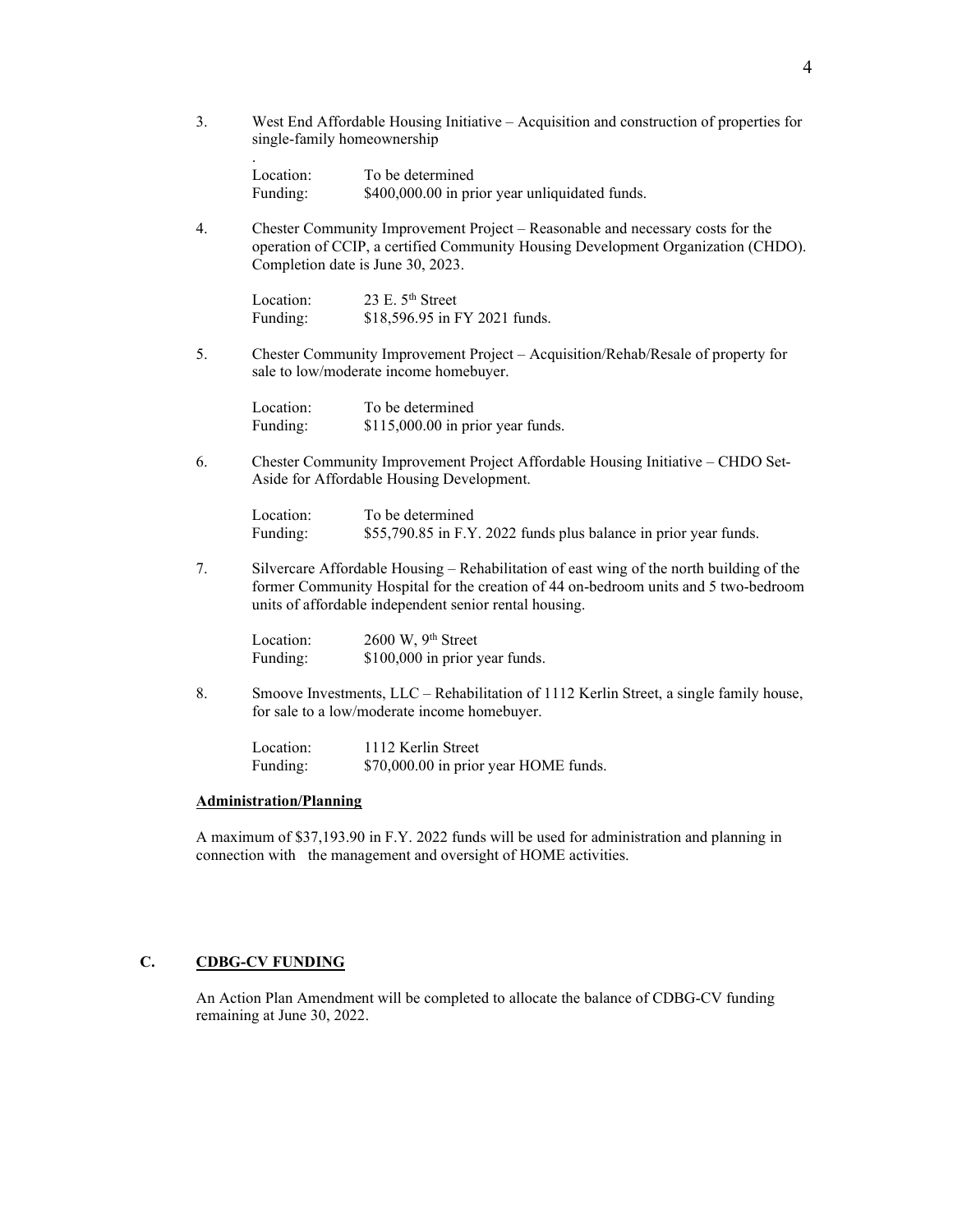3. West End Affordable Housing Initiative – Acquisition and construction of properties for single-family homeownership

Location: To be determined Funding:  $$400,000.00$  in prior year unliquidated funds.

4. Chester Community Improvement Project – Reasonable and necessary costs for the operation of CCIP, a certified Community Housing Development Organization (CHDO). Completion date is June 30, 2023.

| Location: | 23 E. $5th$ Street            |
|-----------|-------------------------------|
| Funding:  | \$18,596.95 in FY 2021 funds. |

5. Chester Community Improvement Project – Acquisition/Rehab/Resale of property for sale to low/moderate income homebuyer.

| Location: | To be determined                   |
|-----------|------------------------------------|
| Funding:  | $$115,000.00$ in prior year funds. |

6. Chester Community Improvement Project Affordable Housing Initiative – CHDO Set-Aside for Affordable Housing Development.

Location: To be determined Funding: \$55,790.85 in F.Y. 2022 funds plus balance in prior year funds.

7. Silvercare Affordable Housing – Rehabilitation of east wing of the north building of the former Community Hospital for the creation of 44 on-bedroom units and 5 two-bedroom units of affordable independent senior rental housing.

| Location: | $2600$ W, $9th$ Street         |
|-----------|--------------------------------|
| Funding:  | \$100,000 in prior year funds. |

8. Smoove Investments, LLC – Rehabilitation of 1112 Kerlin Street, a single family house, for sale to a low/moderate income homebuyer.

| Location: | 1112 Kerlin Street                    |
|-----------|---------------------------------------|
| Funding:  | \$70,000.00 in prior year HOME funds. |

#### **Administration/Planning**

.

A maximum of \$37,193.90 in F.Y. 2022 funds will be used for administration and planning in connection with the management and oversight of HOME activities.

#### **C. CDBG-CV FUNDING**

An Action Plan Amendment will be completed to allocate the balance of CDBG-CV funding remaining at June 30, 2022.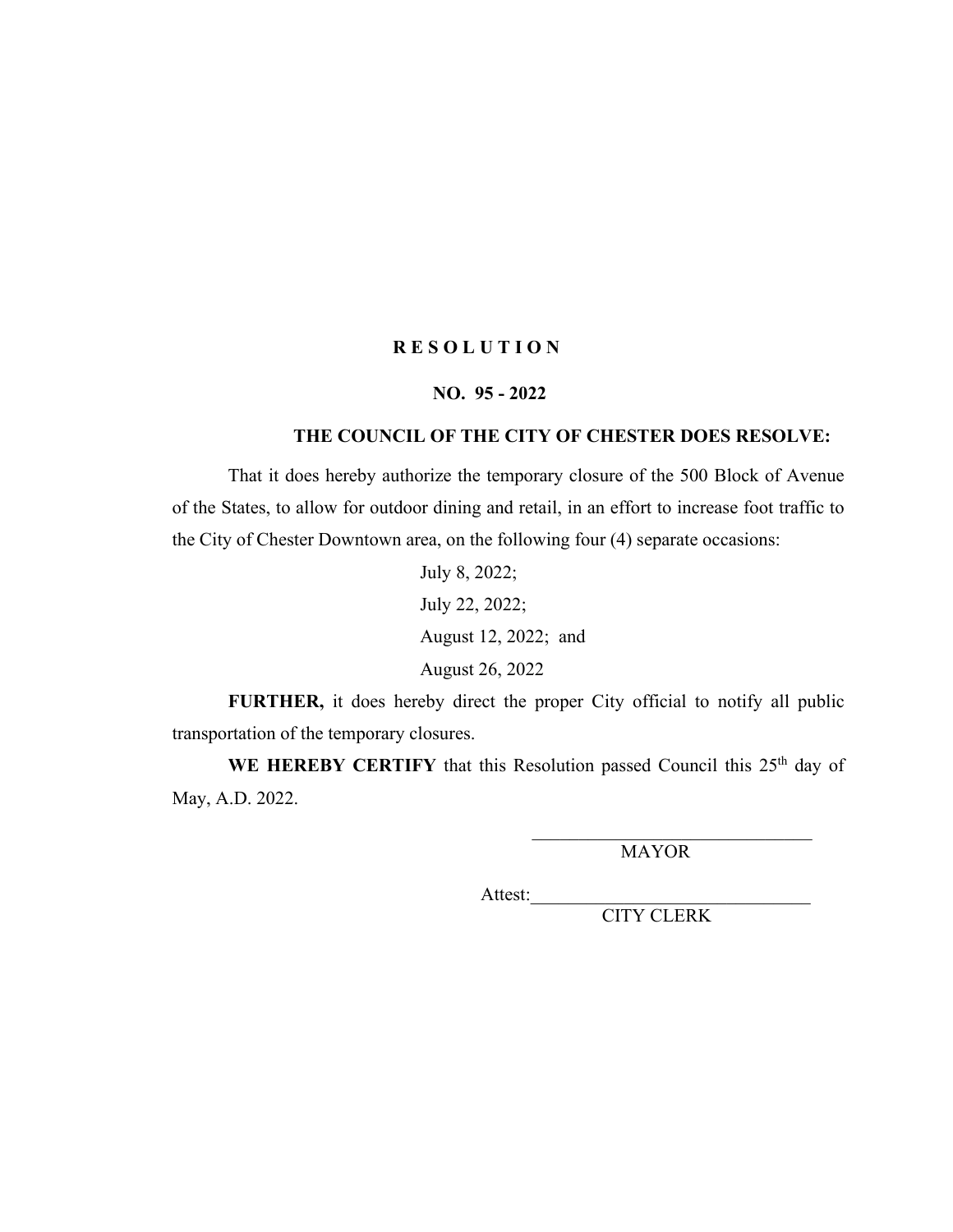# **NO. 95 - 2022**

# **THE COUNCIL OF THE CITY OF CHESTER DOES RESOLVE:**

That it does hereby authorize the temporary closure of the 500 Block of Avenue of the States, to allow for outdoor dining and retail, in an effort to increase foot traffic to the City of Chester Downtown area, on the following four (4) separate occasions:

> July 8, 2022; July 22, 2022; August 12, 2022; and August 26, 2022

**FURTHER,** it does hereby direct the proper City official to notify all public transportation of the temporary closures.

WE HEREBY CERTIFY that this Resolution passed Council this 25<sup>th</sup> day of May, A.D. 2022.

MAYOR

Attest: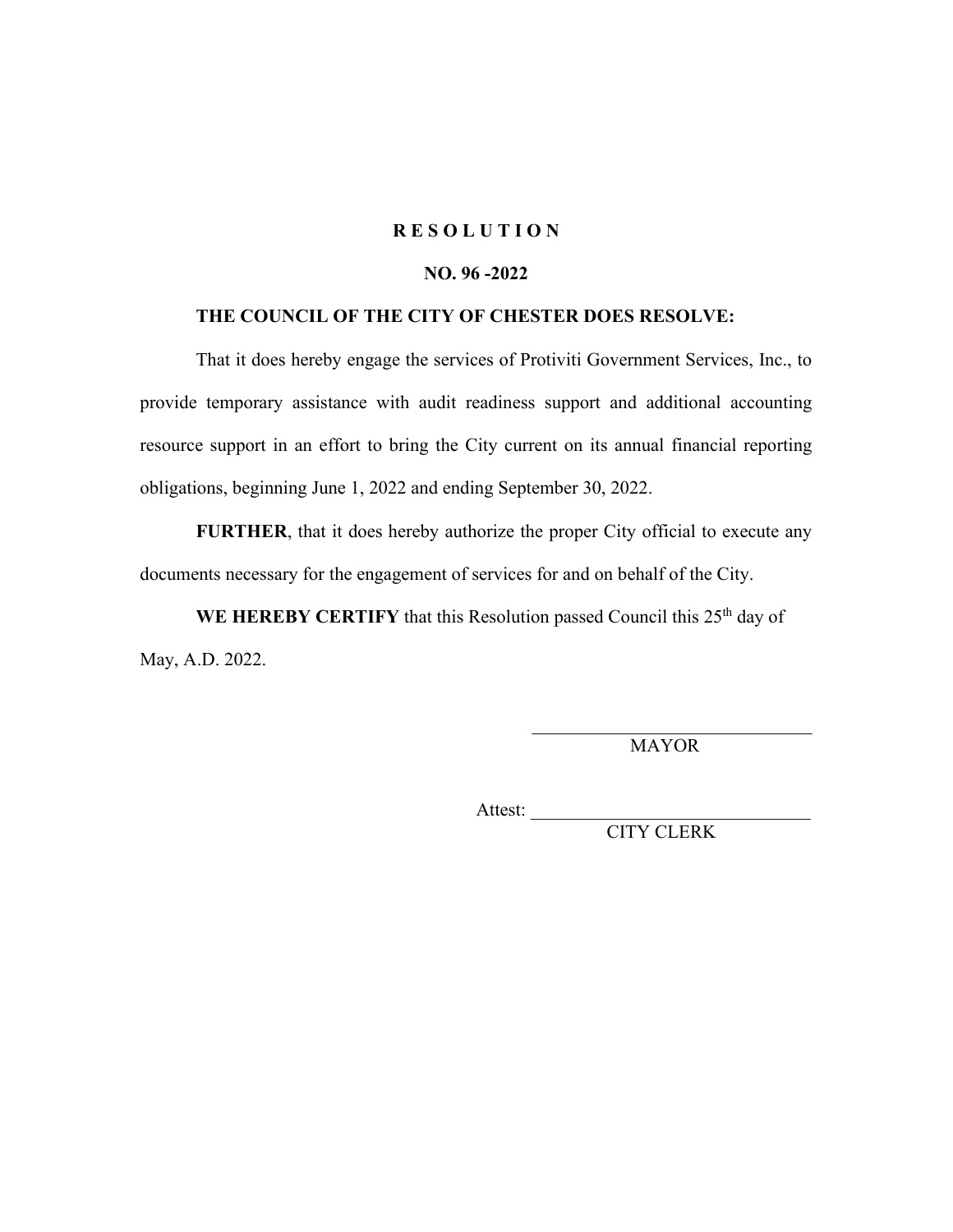# **NO. 96 -2022**

# **THE COUNCIL OF THE CITY OF CHESTER DOES RESOLVE:**

That it does hereby engage the services of Protiviti Government Services, Inc., to provide temporary assistance with audit readiness support and additional accounting resource support in an effort to bring the City current on its annual financial reporting obligations, beginning June 1, 2022 and ending September 30, 2022.

**FURTHER**, that it does hereby authorize the proper City official to execute any documents necessary for the engagement of services for and on behalf of the City.

**WE HEREBY CERTIFY** that this Resolution passed Council this 25<sup>th</sup> day of May, A.D. 2022.

> \_\_\_\_\_\_\_\_\_\_\_\_\_\_\_\_\_\_\_\_\_\_\_\_\_\_\_\_\_\_ MAYOR

Attest: \_\_\_\_\_\_\_\_\_\_\_\_\_\_\_\_\_\_\_\_\_\_\_\_\_\_\_\_\_\_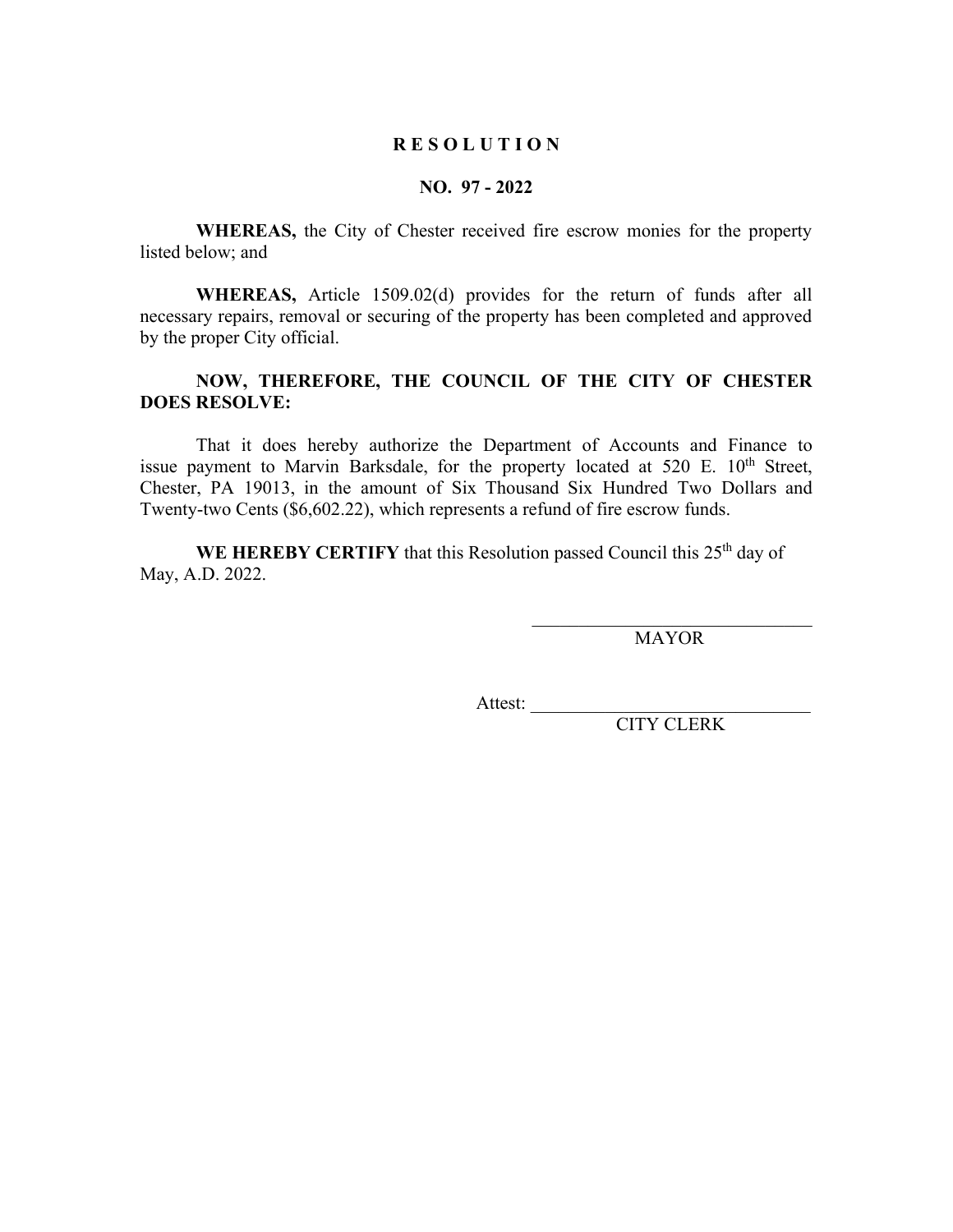### **NO. 97 - 2022**

**WHEREAS,** the City of Chester received fire escrow monies for the property listed below; and

**WHEREAS,** Article 1509.02(d) provides for the return of funds after all necessary repairs, removal or securing of the property has been completed and approved by the proper City official.

# **NOW, THEREFORE, THE COUNCIL OF THE CITY OF CHESTER DOES RESOLVE:**

That it does hereby authorize the Department of Accounts and Finance to issue payment to Marvin Barksdale, for the property located at  $520$  E.  $10^{th}$  Street, Chester, PA 19013, in the amount of Six Thousand Six Hundred Two Dollars and Twenty-two Cents (\$6,602.22), which represents a refund of fire escrow funds.

**WE HEREBY CERTIFY** that this Resolution passed Council this 25<sup>th</sup> day of May, A.D. 2022.

> \_\_\_\_\_\_\_\_\_\_\_\_\_\_\_\_\_\_\_\_\_\_\_\_\_\_\_\_\_\_ MAYOR

Attest: \_\_\_\_\_\_\_\_\_\_\_\_\_\_\_\_\_\_\_\_\_\_\_\_\_\_\_\_\_\_